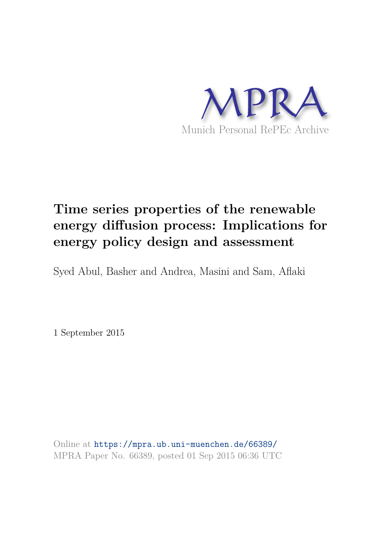

# **Time series properties of the renewable energy diffusion process: Implications for energy policy design and assessment**

Syed Abul, Basher and Andrea, Masini and Sam, Aflaki

1 September 2015

Online at https://mpra.ub.uni-muenchen.de/66389/ MPRA Paper No. 66389, posted 01 Sep 2015 06:36 UTC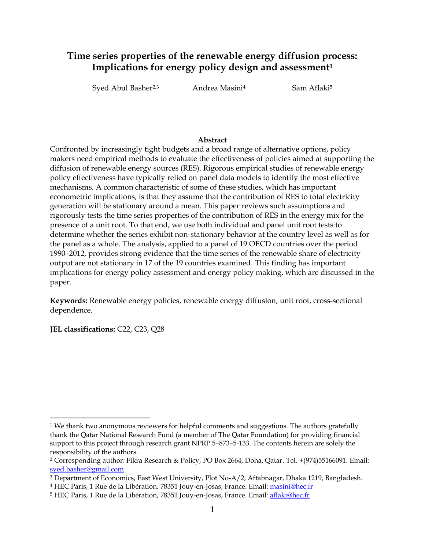## **Time series properties of the renewable energy diffusion process: Implications for energy policy design and assessment<sup>1</sup>**

Syed Abul Basher<sup>2,3</sup> Andrea Masini<sup>4</sup> Sam Aflaki<sup>5</sup>

#### **Abstract**

Confronted by increasingly tight budgets and a broad range of alternative options, policy makers need empirical methods to evaluate the effectiveness of policies aimed at supporting the diffusion of renewable energy sources (RES). Rigorous empirical studies of renewable energy policy effectiveness have typically relied on panel data models to identify the most effective mechanisms. A common characteristic of some of these studies, which has important econometric implications, is that they assume that the contribution of RES to total electricity generation will be stationary around a mean. This paper reviews such assumptions and rigorously tests the time series properties of the contribution of RES in the energy mix for the presence of a unit root. To that end, we use both individual and panel unit root tests to determine whether the series exhibit non-stationary behavior at the country level as well as for the panel as a whole. The analysis, applied to a panel of 19 OECD countries over the period 1990–2012, provides strong evidence that the time series of the renewable share of electricity output are not stationary in 17 of the 19 countries examined. This finding has important implications for energy policy assessment and energy policy making, which are discussed in the paper.

**Keywords:** Renewable energy policies, renewable energy diffusion, unit root, cross-sectional dependence.

**JEL classifications:** C22, C23, Q28

l

 $^1$  We thank two anonymous reviewers for helpful comments and suggestions. The authors gratefully thank the Qatar National Research Fund (a member of The Qatar Foundation) for providing financial support to this project through research grant NPRP 5–873–5-133. The contents herein are solely the responsibility of the authors.

<sup>2</sup> Corresponding author: Fikra Research & Policy, PO Box 2664, Doha, Qatar. Tel. +(974)55166091. Email: [syed.basher@gmail.com](mailto:syed.basher@gmail.com)

<sup>3</sup> Department of Economics, East West University, Plot No-A/2, Aftabnagar, Dhaka 1219, Bangladesh.

<sup>&</sup>lt;sup>4</sup> HEC Paris, 1 Rue de la Libération, 78351 Jouy-en-Josas, France. Email: <u>masini@hec.fr</u>

<sup>&</sup>lt;sup>5</sup> HEC Paris, 1 Rue de la Libération, 78351 Jouy-en-Josas, France. Email: <u>aflaki@hec.fr</u>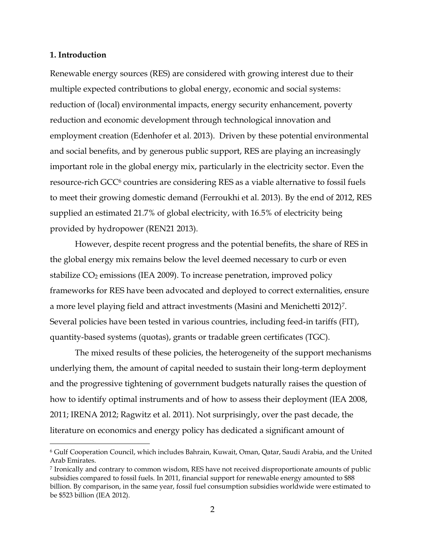#### **1. Introduction**

l

Renewable energy sources (RES) are considered with growing interest due to their multiple expected contributions to global energy, economic and social systems: reduction of (local) environmental impacts, energy security enhancement, poverty reduction and economic development through technological innovation and employment creation (Edenhofer et al. 2013). Driven by these potential environmental and social benefits, and by generous public support, RES are playing an increasingly important role in the global energy mix, particularly in the electricity sector. Even the resource-rich GCC<sup>6</sup> countries are considering RES as a viable alternative to fossil fuels to meet their growing domestic demand (Ferroukhi et al. 2013). By the end of 2012, RES supplied an estimated 21.7% of global electricity, with 16.5% of electricity being provided by hydropower (REN21 2013).

However, despite recent progress and the potential benefits, the share of RES in the global energy mix remains below the level deemed necessary to curb or even stabilize  $CO<sub>2</sub>$  emissions (IEA 2009). To increase penetration, improved policy frameworks for RES have been advocated and deployed to correct externalities, ensure a more level playing field and attract investments (Masini and Menichetti 2012)<sup>7</sup>. Several policies have been tested in various countries, including feed-in tariffs (FIT), quantity-based systems (quotas), grants or tradable green certificates (TGC).

The mixed results of these policies, the heterogeneity of the support mechanisms underlying them, the amount of capital needed to sustain their long-term deployment and the progressive tightening of government budgets naturally raises the question of how to identify optimal instruments and of how to assess their deployment (IEA 2008, 2011; IRENA 2012; Ragwitz et al. 2011). Not surprisingly, over the past decade, the literature on economics and energy policy has dedicated a significant amount of

<sup>6</sup> Gulf Cooperation Council, which includes Bahrain, Kuwait, Oman, Qatar, Saudi Arabia, and the United Arab Emirates.

<sup>7</sup> Ironically and contrary to common wisdom, RES have not received disproportionate amounts of public subsidies compared to fossil fuels. In 2011, financial support for renewable energy amounted to \$88 billion. By comparison, in the same year, fossil fuel consumption subsidies worldwide were estimated to be \$523 billion (IEA 2012).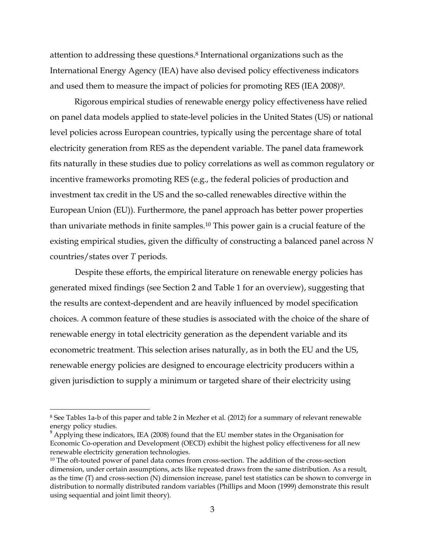attention to addressing these questions.<sup>8</sup> International organizations such as the International Energy Agency (IEA) have also devised policy effectiveness indicators and used them to measure the impact of policies for promoting RES (IEA 2008)<sup>9</sup>.

Rigorous empirical studies of renewable energy policy effectiveness have relied on panel data models applied to state-level policies in the United States (US) or national level policies across European countries, typically using the percentage share of total electricity generation from RES as the dependent variable. The panel data framework fits naturally in these studies due to policy correlations as well as common regulatory or incentive frameworks promoting RES (e.g., the federal policies of production and investment tax credit in the US and the so-called renewables directive within the European Union (EU)). Furthermore, the panel approach has better power properties than univariate methods in finite samples.<sup>10</sup> This power gain is a crucial feature of the existing empirical studies, given the difficulty of constructing a balanced panel across *N* countries/states over *T* periods.

Despite these efforts, the empirical literature on renewable energy policies has generated mixed findings (see Section 2 and Table 1 for an overview), suggesting that the results are context-dependent and are heavily influenced by model specification choices. A common feature of these studies is associated with the choice of the share of renewable energy in total electricity generation as the dependent variable and its econometric treatment. This selection arises naturally, as in both the EU and the US, renewable energy policies are designed to encourage electricity producers within a given jurisdiction to supply a minimum or targeted share of their electricity using

l

<sup>8</sup> See Tables 1a-b of this paper and table 2 in Mezher et al. (2012) for a summary of relevant renewable energy policy studies.

 $9$  Applying these indicators, IEA (2008) found that the EU member states in the Organisation for Economic Co-operation and Development (OECD) exhibit the highest policy effectiveness for all new renewable electricity generation technologies.

<sup>&</sup>lt;sup>10</sup> The oft-touted power of panel data comes from cross-section. The addition of the cross-section dimension, under certain assumptions, acts like repeated draws from the same distribution. As a result, as the time (T) and cross-section (N) dimension increase, panel test statistics can be shown to converge in distribution to normally distributed random variables (Phillips and Moon (1999) demonstrate this result using sequential and joint limit theory).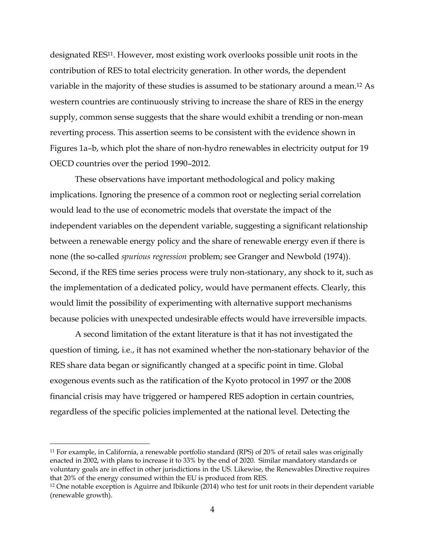designated RES<sup>11</sup>. However, most existing work overlooks possible unit roots in the contribution of RES to total electricity generation. In other words, the dependent variable in the majority of these studies is assumed to be stationary around a mean.<sup>12</sup> As western countries are continuously striving to increase the share of RES in the energy supply, common sense suggests that the share would exhibit a trending or non-mean reverting process. This assertion seems to be consistent with the evidence shown in Figures 1a–b, which plot the share of non-hydro renewables in electricity output for 19 OECD countries over the period 1990–2012.

These observations have important methodological and policy making implications. Ignoring the presence of a common root or neglecting serial correlation would lead to the use of econometric models that overstate the impact of the independent variables on the dependent variable, suggesting a significant relationship between a renewable energy policy and the share of renewable energy even if there is none (the so-called *spurious regression* problem; see Granger and Newbold (1974)). Second, if the RES time series process were truly non-stationary, any shock to it, such as the implementation of a dedicated policy, would have permanent effects. Clearly, this would limit the possibility of experimenting with alternative support mechanisms because policies with unexpected undesirable effects would have irreversible impacts.

A second limitation of the extant literature is that it has not investigated the question of timing, i.e., it has not examined whether the non-stationary behavior of the RES share data began or significantly changed at a specific point in time. Global exogenous events such as the ratification of the Kyoto protocol in 1997 or the 2008 financial crisis may have triggered or hampered RES adoption in certain countries, regardless of the specific policies implemented at the national level. Detecting the

l

<sup>11</sup> For example, in California, a renewable portfolio standard (RPS) of 20% of retail sales was originally enacted in 2002, with plans to increase it to 33% by the end of 2020. Similar mandatory standards or voluntary goals are in effect in other jurisdictions in the US. Likewise, the Renewables Directive requires that 20% of the energy consumed within the EU is produced from RES.

<sup>12</sup> One notable exception is Aguirre and Ibikunle (2014) who test for unit roots in their dependent variable (renewable growth).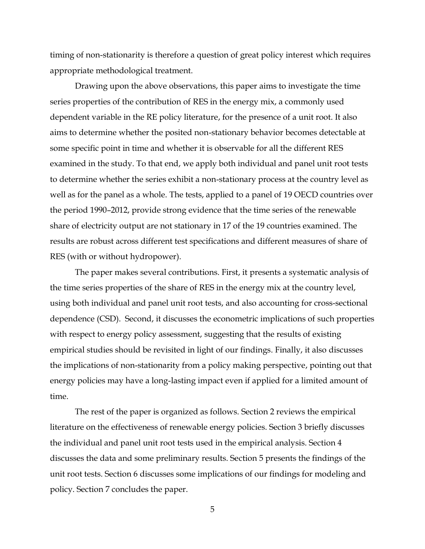timing of non-stationarity is therefore a question of great policy interest which requires appropriate methodological treatment.

Drawing upon the above observations, this paper aims to investigate the time series properties of the contribution of RES in the energy mix, a commonly used dependent variable in the RE policy literature, for the presence of a unit root. It also aims to determine whether the posited non-stationary behavior becomes detectable at some specific point in time and whether it is observable for all the different RES examined in the study. To that end, we apply both individual and panel unit root tests to determine whether the series exhibit a non-stationary process at the country level as well as for the panel as a whole. The tests, applied to a panel of 19 OECD countries over the period 1990–2012, provide strong evidence that the time series of the renewable share of electricity output are not stationary in 17 of the 19 countries examined. The results are robust across different test specifications and different measures of share of RES (with or without hydropower).

The paper makes several contributions. First, it presents a systematic analysis of the time series properties of the share of RES in the energy mix at the country level, using both individual and panel unit root tests, and also accounting for cross-sectional dependence (CSD). Second, it discusses the econometric implications of such properties with respect to energy policy assessment, suggesting that the results of existing empirical studies should be revisited in light of our findings. Finally, it also discusses the implications of non-stationarity from a policy making perspective, pointing out that energy policies may have a long-lasting impact even if applied for a limited amount of time.

The rest of the paper is organized as follows. Section 2 reviews the empirical literature on the effectiveness of renewable energy policies. Section 3 briefly discusses the individual and panel unit root tests used in the empirical analysis. Section 4 discusses the data and some preliminary results. Section 5 presents the findings of the unit root tests. Section 6 discusses some implications of our findings for modeling and policy. Section 7 concludes the paper.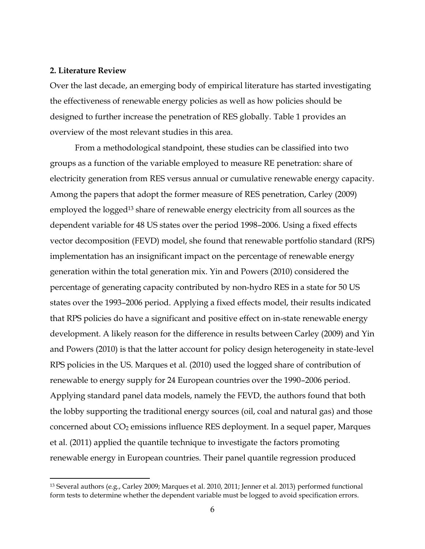#### **2. Literature Review**

l

Over the last decade, an emerging body of empirical literature has started investigating the effectiveness of renewable energy policies as well as how policies should be designed to further increase the penetration of RES globally. Table 1 provides an overview of the most relevant studies in this area.

From a methodological standpoint, these studies can be classified into two groups as a function of the variable employed to measure RE penetration: share of electricity generation from RES versus annual or cumulative renewable energy capacity. Among the papers that adopt the former measure of RES penetration, Carley (2009) employed the logged<sup>13</sup> share of renewable energy electricity from all sources as the dependent variable for 48 US states over the period 1998–2006. Using a fixed effects vector decomposition (FEVD) model, she found that renewable portfolio standard (RPS) implementation has an insignificant impact on the percentage of renewable energy generation within the total generation mix. Yin and Powers (2010) considered the percentage of generating capacity contributed by non-hydro RES in a state for 50 US states over the 1993–2006 period. Applying a fixed effects model, their results indicated that RPS policies do have a significant and positive effect on in-state renewable energy development. A likely reason for the difference in results between Carley (2009) and Yin and Powers (2010) is that the latter account for policy design heterogeneity in state-level RPS policies in the US. Marques et al. (2010) used the logged share of contribution of renewable to energy supply for 24 European countries over the 1990–2006 period. Applying standard panel data models, namely the FEVD, the authors found that both the lobby supporting the traditional energy sources (oil, coal and natural gas) and those concerned about CO2 emissions influence RES deployment. In a sequel paper, Marques et al. (2011) applied the quantile technique to investigate the factors promoting renewable energy in European countries. Their panel quantile regression produced

<sup>13</sup> Several authors (e.g., Carley 2009; Marques et al. 2010, 2011; Jenner et al. 2013) performed functional form tests to determine whether the dependent variable must be logged to avoid specification errors.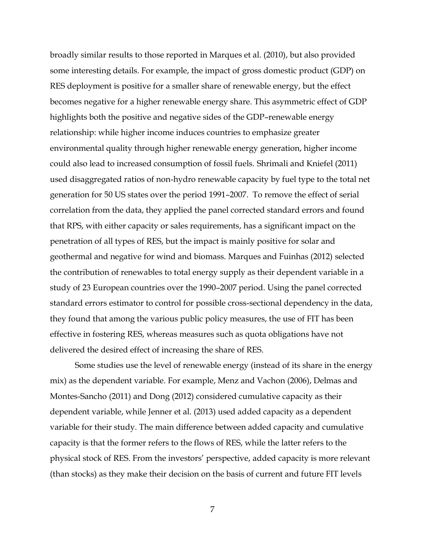broadly similar results to those reported in Marques et al. (2010), but also provided some interesting details. For example, the impact of gross domestic product (GDP) on RES deployment is positive for a smaller share of renewable energy, but the effect becomes negative for a higher renewable energy share. This asymmetric effect of GDP highlights both the positive and negative sides of the GDP–renewable energy relationship: while higher income induces countries to emphasize greater environmental quality through higher renewable energy generation, higher income could also lead to increased consumption of fossil fuels. Shrimali and Kniefel (2011) used disaggregated ratios of non-hydro renewable capacity by fuel type to the total net generation for 50 US states over the period 1991–2007. To remove the effect of serial correlation from the data, they applied the panel corrected standard errors and found that RPS, with either capacity or sales requirements, has a significant impact on the penetration of all types of RES, but the impact is mainly positive for solar and geothermal and negative for wind and biomass. Marques and Fuinhas (2012) selected the contribution of renewables to total energy supply as their dependent variable in a study of 23 European countries over the 1990–2007 period. Using the panel corrected standard errors estimator to control for possible cross-sectional dependency in the data, they found that among the various public policy measures, the use of FIT has been effective in fostering RES, whereas measures such as quota obligations have not delivered the desired effect of increasing the share of RES.

Some studies use the level of renewable energy (instead of its share in the energy mix) as the dependent variable. For example, Menz and Vachon (2006), Delmas and Montes-Sancho (2011) and Dong (2012) considered cumulative capacity as their dependent variable, while Jenner et al. (2013) used added capacity as a dependent variable for their study. The main difference between added capacity and cumulative capacity is that the former refers to the flows of RES, while the latter refers to the physical stock of RES. From the investors' perspective, added capacity is more relevant (than stocks) as they make their decision on the basis of current and future FIT levels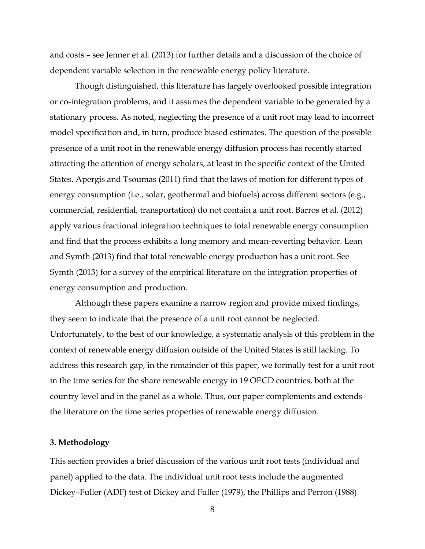and costs – see Jenner et al. (2013) for further details and a discussion of the choice of dependent variable selection in the renewable energy policy literature.

Though distinguished, this literature has largely overlooked possible integration or co-integration problems, and it assumes the dependent variable to be generated by a stationary process. As noted, neglecting the presence of a unit root may lead to incorrect model specification and, in turn, produce biased estimates. The question of the possible presence of a unit root in the renewable energy diffusion process has recently started attracting the attention of energy scholars, at least in the specific context of the United States. Apergis and Tsoumas (2011) find that the laws of motion for different types of energy consumption (i.e., solar, geothermal and biofuels) across different sectors (e.g., commercial, residential, transportation) do not contain a unit root. Barros et al. (2012) apply various fractional integration techniques to total renewable energy consumption and find that the process exhibits a long memory and mean-reverting behavior. Lean and Symth (2013) find that total renewable energy production has a unit root. See Symth (2013) for a survey of the empirical literature on the integration properties of energy consumption and production.

Although these papers examine a narrow region and provide mixed findings, they seem to indicate that the presence of a unit root cannot be neglected. Unfortunately, to the best of our knowledge, a systematic analysis of this problem in the context of renewable energy diffusion outside of the United States is still lacking. To address this research gap, in the remainder of this paper, we formally test for a unit root in the time series for the share renewable energy in 19 OECD countries, both at the country level and in the panel as a whole. Thus, our paper complements and extends the literature on the time series properties of renewable energy diffusion.

#### **3. Methodology**

This section provides a brief discussion of the various unit root tests (individual and panel) applied to the data. The individual unit root tests include the augmented Dickey–Fuller (ADF) test of Dickey and Fuller (1979), the Phillips and Perron (1988)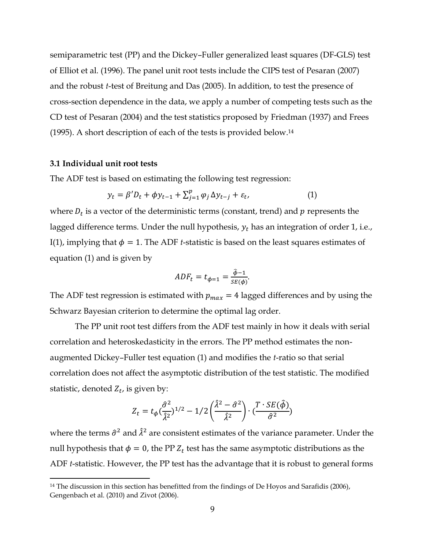semiparametric test (PP) and the Dickey–Fuller generalized least squares (DF-GLS) test of Elliot et al. (1996). The panel unit root tests include the CIPS test of Pesaran (2007) and the robust *t*-test of Breitung and Das (2005). In addition, to test the presence of cross-section dependence in the data, we apply a number of competing tests such as the CD test of Pesaran (2004) and the test statistics proposed by Friedman (1937) and Frees (1995). A short description of each of the tests is provided below.<sup>14</sup>

#### **3.1 Individual unit root tests**

l

The ADF test is based on estimating the following test regression:

$$
y_t = \beta' D_t + \phi y_{t-1} + \sum_{j=1}^p \varphi_j \Delta y_{t-j} + \varepsilon_t,
$$
\n(1)

where  $D_t$  is a vector of the deterministic terms (constant, trend) and  $p$  represents the lagged difference terms. Under the null hypothesis,  $y_t$  has an integration of order 1, i.e., I(1), implying that  $\phi = 1$ . The ADF *t*-statistic is based on the least squares estimates of equation (1) and is given by

$$
ADF_t = t_{\phi=1} = \frac{\hat{\phi}-1}{SE(\phi)}.
$$

The ADF test regression is estimated with  $p_{max} = 4$  lagged differences and by using the Schwarz Bayesian criterion to determine the optimal lag order.

The PP unit root test differs from the ADF test mainly in how it deals with serial correlation and heteroskedasticity in the errors. The PP method estimates the nonaugmented Dickey–Fuller test equation (1) and modifies the *t*-ratio so that serial correlation does not affect the asymptotic distribution of the test statistic. The modified statistic, denoted  $Z_t$ , is given by:

$$
Z_t = t_{\phi}(\frac{\hat{\sigma}^2}{\hat{\lambda}^2})^{1/2} - 1/2\left(\frac{\hat{\lambda}^2 - \hat{\sigma}^2}{\hat{\lambda}^2}\right) \cdot (\frac{T \cdot SE(\hat{\phi})}{\hat{\sigma}^2})
$$

where the terms  $\hat{\sigma}^2$  and  $\lambda^2$  are consistent estimates of the variance parameter. Under the null hypothesis that  $\phi = 0$ , the PP  $Z_t$  test has the same asymptotic distributions as the ADF *t*-statistic. However, the PP test has the advantage that it is robust to general forms

<sup>&</sup>lt;sup>14</sup> The discussion in this section has benefitted from the findings of De Hoyos and Sarafidis (2006), Gengenbach et al. (2010) and Zivot (2006).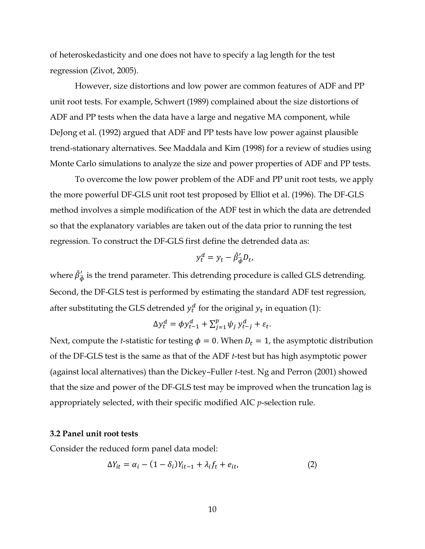of heteroskedasticity and one does not have to specify a lag length for the test regression (Zivot, 2005).

 However, size distortions and low power are common features of ADF and PP unit root tests. For example, Schwert (1989) complained about the size distortions of ADF and PP tests when the data have a large and negative MA component, while DeJong et al. (1992) argued that ADF and PP tests have low power against plausible trend-stationary alternatives. See Maddala and Kim (1998) for a review of studies using Monte Carlo simulations to analyze the size and power properties of ADF and PP tests.

To overcome the low power problem of the ADF and PP unit root tests, we apply the more powerful DF-GLS unit root test proposed by Elliot et al. (1996). The DF-GLS method involves a simple modification of the ADF test in which the data are detrended so that the explanatory variables are taken out of the data prior to running the test regression. To construct the DF-GLS first define the detrended data as:

$$
y_t^d = y_t - \hat{\beta}_{\overline{\phi}}' D_t,
$$

where  $\beta'_{\overline{\phi}}$  $\frac{7}{4}$  is the trend parameter. This detrending procedure is called GLS detrending. Second, the DF-GLS test is performed by estimating the standard ADF test regression, after substituting the GLS detrended  $y_t^d$  for the original  $y_t$  in equation (1):

$$
\Delta y_t^d = \phi y_{t-1}^d + \sum_{j=1}^p \psi_j y_{t-j}^d + \varepsilon_t.
$$

Next, compute the *t*-statistic for testing  $\phi = 0$ . When  $D_t = 1$ , the asymptotic distribution of the DF-GLS test is the same as that of the ADF *t*-test but has high asymptotic power (against local alternatives) than the Dickey–Fuller *t*-test. Ng and Perron (2001) showed that the size and power of the DF-GLS test may be improved when the truncation lag is appropriately selected, with their specific modified AIC *p*-selection rule.

#### **3.2 Panel unit root tests**

Consider the reduced form panel data model:

$$
\Delta Y_{it} = \alpha_i - (1 - \delta_i) Y_{it-1} + \lambda_i f_t + e_{it}, \qquad (2)
$$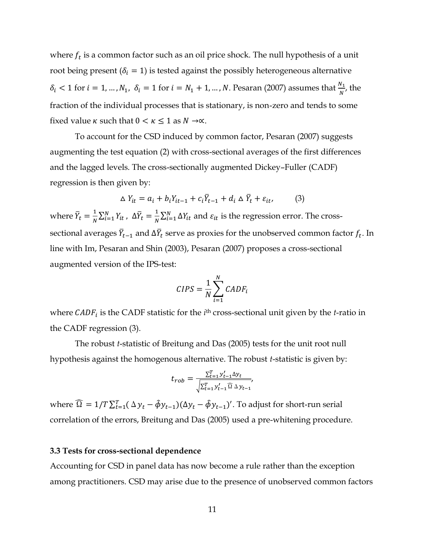where  $f_t$  is a common factor such as an oil price shock. The null hypothesis of a unit root being present ( $\delta_i = 1$ ) is tested against the possibly heterogeneous alternative  $\delta_i$  < 1 for  $i = 1, ..., N_1$ ,  $\delta_i = 1$  for  $i = N_1 + 1, ..., N$ . Pesaran (2007) assumes that  $\frac{N_1}{N}$ , the fraction of the individual processes that is stationary, is non-zero and tends to some fixed value  $\kappa$  such that  $0 < \kappa \leq 1$  as  $N \rightarrow \infty$ .

 To account for the CSD induced by common factor, Pesaran (2007) suggests augmenting the test equation (2) with cross-sectional averages of the first differences and the lagged levels. The cross-sectionally augmented Dickey–Fuller (CADF) regression is then given by:

$$
\Delta Y_{it} = a_i + b_i Y_{it-1} + c_i \overline{Y}_{t-1} + d_i \Delta \overline{Y}_t + \varepsilon_{it}, \qquad (3)
$$

where  $Y_t$  $\overline{1}$  $\frac{1}{N}\sum_{i=1}^{N}Y_{it}$ ,  $\Delta \overline{Y}_{t}$  $\overline{1}$  $\frac{1}{N} \sum_{i=1}^{N} \Delta Y_{it}$  and  $\varepsilon_{it}$  is the regression error. The crosssectional averages  $Y_{t-1}$  and  $\Delta Y_t$  serve as proxies for the unobserved common factor  $f_t$ . In line with Im, Pesaran and Shin (2003), Pesaran (2007) proposes a cross-sectional augmented version of the IPS-test:

$$
CIPS = \frac{1}{N} \sum_{i=1}^{N} CADF_i
$$

where *CADF<sub>i</sub>* is the CADF statistic for the *i*<sup>th</sup> cross-sectional unit given by the *t*-ratio in the CADF regression (3).

 The robust *t*-statistic of Breitung and Das (2005) tests for the unit root null hypothesis against the homogenous alternative. The robust *t*-statistic is given by:

$$
t_{rob} = \frac{\sum_{t=1}^{T} y'_{t-1} \Delta y_t}{\sqrt{\sum_{t=1}^{T} y'_{t-1} \Omega} \Delta y_{t-1}},
$$

where  $\Omega = 1/T \sum_{t=1}^{T} (\Delta y_t - \hat{\phi} y_{t-1}) (\Delta y_t - \hat{\phi} y_{t-1})'$ . To adjust for short-run serial correlation of the errors, Breitung and Das (2005) used a pre-whitening procedure.

#### **3.3 Tests for cross-sectional dependence**

Accounting for CSD in panel data has now become a rule rather than the exception among practitioners. CSD may arise due to the presence of unobserved common factors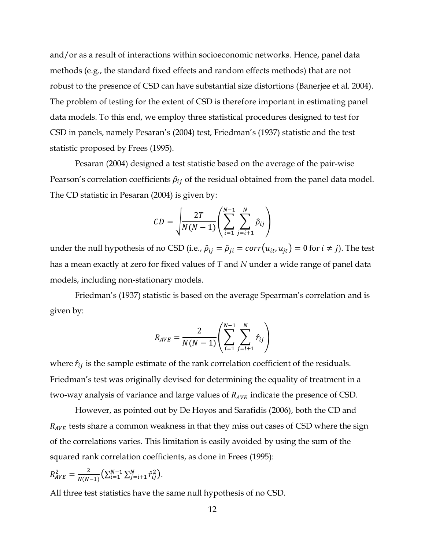and/or as a result of interactions within socioeconomic networks. Hence, panel data methods (e.g., the standard fixed effects and random effects methods) that are not robust to the presence of CSD can have substantial size distortions (Banerjee et al. 2004). The problem of testing for the extent of CSD is therefore important in estimating panel data models. To this end, we employ three statistical procedures designed to test for CSD in panels, namely Pesaran's (2004) test, Friedman's (1937) statistic and the test statistic proposed by Frees (1995).

 Pesaran (2004) designed a test statistic based on the average of the pair-wise Pearson's correlation coefficients  $\hat{\rho}_{ij}$  of the residual obtained from the panel data model. The CD statistic in Pesaran (2004) is given by:

$$
CD = \sqrt{\frac{2T}{N(N-1)}} \left( \sum_{i=1}^{N-1} \sum_{j=i+1}^{N} \hat{\rho}_{ij} \right)
$$

under the null hypothesis of no CSD (i.e.,  $\hat{\rho}_{ij} = \hat{\rho}_{ji} = corr(u_{it}, u_{jt}) = 0$  for  $i \neq j$ ). The test has a mean exactly at zero for fixed values of *T* and *N* under a wide range of panel data models, including non-stationary models.

Friedman's (1937) statistic is based on the average Spearman's correlation and is given by:

$$
R_{AVE} = \frac{2}{N(N-1)} \left( \sum_{i=1}^{N-1} \sum_{j=i+1}^{N} \hat{r}_{ij} \right)
$$

where  $\hat{r}_{ij}$  is the sample estimate of the rank correlation coefficient of the residuals. Friedman's test was originally devised for determining the equality of treatment in a two-way analysis of variance and large values of  $R_{AVE}$  indicate the presence of CSD.

 However, as pointed out by De Hoyos and Sarafidis (2006), both the CD and  $R_{AVE}$  tests share a common weakness in that they miss out cases of CSD where the sign of the correlations varies. This limitation is easily avoided by using the sum of the squared rank correlation coefficients, as done in Frees (1995):

$$
R_{AVE}^2 = \frac{2}{N(N-1)} \left( \sum_{i=1}^{N-1} \sum_{j=i+1}^{N} \hat{r}_{ij}^2 \right).
$$

All three test statistics have the same null hypothesis of no CSD.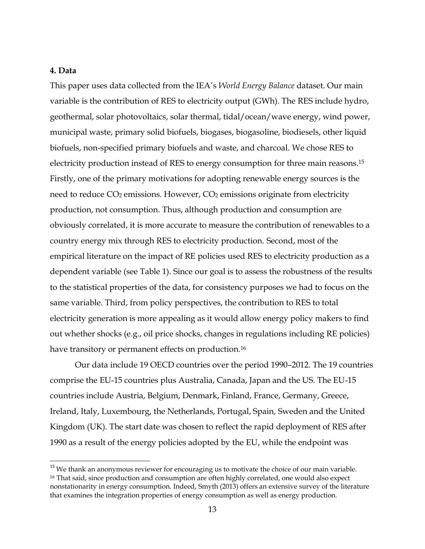#### **4. Data**

֦

This paper uses data collected from the IEA's *World Energy Balance* dataset. Our main variable is the contribution of RES to electricity output (GWh). The RES include hydro, geothermal, solar photovoltaics, solar thermal, tidal/ocean/wave energy, wind power, municipal waste, primary solid biofuels, biogases, biogasoline, biodiesels, other liquid biofuels, non-specified primary biofuels and waste, and charcoal. We chose RES to electricity production instead of RES to energy consumption for three main reasons.<sup>15</sup> Firstly, one of the primary motivations for adopting renewable energy sources is the need to reduce CO<sub>2</sub> emissions. However, CO<sub>2</sub> emissions originate from electricity production, not consumption. Thus, although production and consumption are obviously correlated, it is more accurate to measure the contribution of renewables to a country energy mix through RES to electricity production. Second, most of the empirical literature on the impact of RE policies used RES to electricity production as a dependent variable (see Table 1). Since our goal is to assess the robustness of the results to the statistical properties of the data, for consistency purposes we had to focus on the same variable. Third, from policy perspectives, the contribution to RES to total electricity generation is more appealing as it would allow energy policy makers to find out whether shocks (e.g., oil price shocks, changes in regulations including RE policies) have transitory or permanent effects on production.<sup>16</sup>

Our data include 19 OECD countries over the period 1990–2012. The 19 countries comprise the EU-15 countries plus Australia, Canada, Japan and the US. The EU-15 countries include Austria, Belgium, Denmark, Finland, France, Germany, Greece, Ireland, Italy, Luxembourg, the Netherlands, Portugal, Spain, Sweden and the United Kingdom (UK). The start date was chosen to reflect the rapid deployment of RES after 1990 as a result of the energy policies adopted by the EU, while the endpoint was

<sup>&</sup>lt;sup>15</sup> We thank an anonymous reviewer for encouraging us to motivate the choice of our main variable. <sup>16</sup> That said, since production and consumption are often highly correlated, one would also expect nonstationarity in energy consumption. Indeed, Smyth (2013) offers an extensive survey of the literature that examines the integration properties of energy consumption as well as energy production.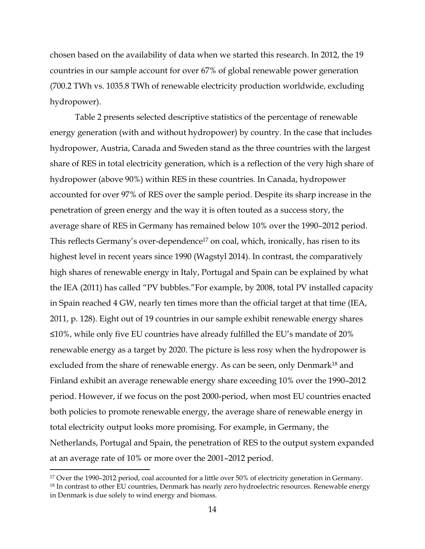chosen based on the availability of data when we started this research. In 2012, the 19 countries in our sample account for over 67% of global renewable power generation (700.2 TWh vs. 1035.8 TWh of renewable electricity production worldwide, excluding hydropower).

Table 2 presents selected descriptive statistics of the percentage of renewable energy generation (with and without hydropower) by country. In the case that includes hydropower, Austria, Canada and Sweden stand as the three countries with the largest share of RES in total electricity generation, which is a reflection of the very high share of hydropower (above 90%) within RES in these countries. In Canada, hydropower accounted for over 97% of RES over the sample period. Despite its sharp increase in the penetration of green energy and the way it is often touted as a success story, the average share of RES in Germany has remained below 10% over the 1990–2012 period. This reflects Germany's over-dependence<sup>17</sup> on coal, which, ironically, has risen to its highest level in recent years since 1990 (Wagstyl 2014). In contrast, the comparatively high shares of renewable energy in Italy, Portugal and Spain can be explained by what the IEA (2011) has called "PV bubbles."For example, by 2008, total PV installed capacity in Spain reached 4 GW, nearly ten times more than the official target at that time (IEA, 2011, p. 128). Eight out of 19 countries in our sample exhibit renewable energy shares ≤10%, while only five EU countries have already fulfilled the EU's mandate of 20% renewable energy as a target by 2020. The picture is less rosy when the hydropower is excluded from the share of renewable energy. As can be seen, only Denmark<sup>18</sup> and Finland exhibit an average renewable energy share exceeding 10% over the 1990–2012 period. However, if we focus on the post 2000-period, when most EU countries enacted both policies to promote renewable energy, the average share of renewable energy in total electricity output looks more promising. For example, in Germany, the Netherlands, Portugal and Spain, the penetration of RES to the output system expanded at an average rate of 10% or more over the 2001–2012 period.

֦

<sup>&</sup>lt;sup>17</sup> Over the 1990–2012 period, coal accounted for a little over 50% of electricity generation in Germany. <sup>18</sup> In contrast to other EU countries, Denmark has nearly zero hydroelectric resources. Renewable energy in Denmark is due solely to wind energy and biomass.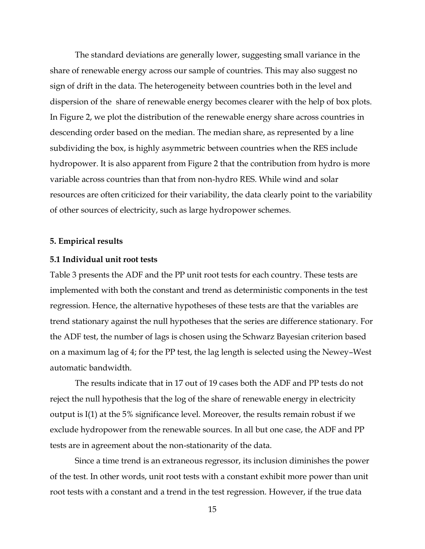The standard deviations are generally lower, suggesting small variance in the share of renewable energy across our sample of countries. This may also suggest no sign of drift in the data. The heterogeneity between countries both in the level and dispersion of the share of renewable energy becomes clearer with the help of box plots. In Figure 2, we plot the distribution of the renewable energy share across countries in descending order based on the median. The median share, as represented by a line subdividing the box, is highly asymmetric between countries when the RES include hydropower. It is also apparent from Figure 2 that the contribution from hydro is more variable across countries than that from non-hydro RES. While wind and solar resources are often criticized for their variability, the data clearly point to the variability of other sources of electricity, such as large hydropower schemes.

#### **5. Empirical results**

#### **5.1 Individual unit root tests**

Table 3 presents the ADF and the PP unit root tests for each country. These tests are implemented with both the constant and trend as deterministic components in the test regression. Hence, the alternative hypotheses of these tests are that the variables are trend stationary against the null hypotheses that the series are difference stationary. For the ADF test, the number of lags is chosen using the Schwarz Bayesian criterion based on a maximum lag of 4; for the PP test, the lag length is selected using the Newey–West automatic bandwidth.

The results indicate that in 17 out of 19 cases both the ADF and PP tests do not reject the null hypothesis that the log of the share of renewable energy in electricity output is I(1) at the 5% significance level. Moreover, the results remain robust if we exclude hydropower from the renewable sources. In all but one case, the ADF and PP tests are in agreement about the non-stationarity of the data.

 Since a time trend is an extraneous regressor, its inclusion diminishes the power of the test. In other words, unit root tests with a constant exhibit more power than unit root tests with a constant and a trend in the test regression. However, if the true data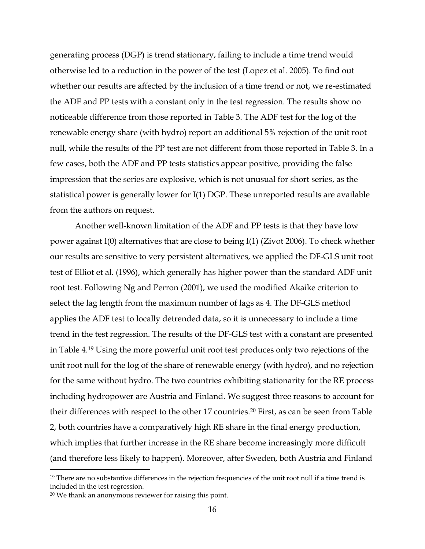generating process (DGP) is trend stationary, failing to include a time trend would otherwise led to a reduction in the power of the test (Lopez et al. 2005). To find out whether our results are affected by the inclusion of a time trend or not, we re-estimated the ADF and PP tests with a constant only in the test regression. The results show no noticeable difference from those reported in Table 3. The ADF test for the log of the renewable energy share (with hydro) report an additional 5% rejection of the unit root null, while the results of the PP test are not different from those reported in Table 3. In a few cases, both the ADF and PP tests statistics appear positive, providing the false impression that the series are explosive, which is not unusual for short series, as the statistical power is generally lower for I(1) DGP. These unreported results are available from the authors on request.

 Another well-known limitation of the ADF and PP tests is that they have low power against I(0) alternatives that are close to being I(1) (Zivot 2006). To check whether our results are sensitive to very persistent alternatives, we applied the DF-GLS unit root test of Elliot et al. (1996), which generally has higher power than the standard ADF unit root test. Following Ng and Perron (2001), we used the modified Akaike criterion to select the lag length from the maximum number of lags as 4. The DF-GLS method applies the ADF test to locally detrended data, so it is unnecessary to include a time trend in the test regression. The results of the DF-GLS test with a constant are presented in Table 4.<sup>19</sup> Using the more powerful unit root test produces only two rejections of the unit root null for the log of the share of renewable energy (with hydro), and no rejection for the same without hydro. The two countries exhibiting stationarity for the RE process including hydropower are Austria and Finland. We suggest three reasons to account for their differences with respect to the other 17 countries.<sup>20</sup> First, as can be seen from Table 2, both countries have a comparatively high RE share in the final energy production, which implies that further increase in the RE share become increasingly more difficult (and therefore less likely to happen). Moreover, after Sweden, both Austria and Finland

֦

<sup>&</sup>lt;sup>19</sup> There are no substantive differences in the rejection frequencies of the unit root null if a time trend is included in the test regression.

<sup>20</sup> We thank an anonymous reviewer for raising this point.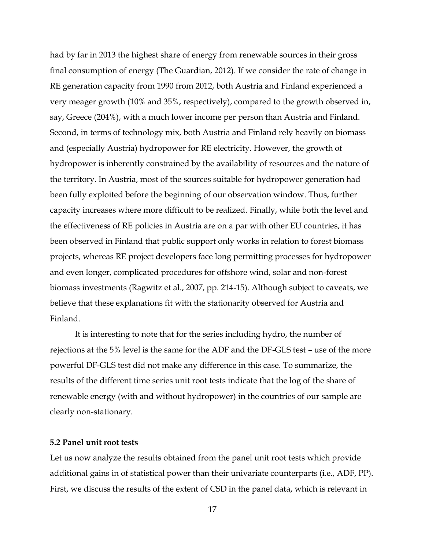had by far in 2013 the highest share of energy from renewable sources in their gross final consumption of energy (The Guardian, 2012). If we consider the rate of change in RE generation capacity from 1990 from 2012, both Austria and Finland experienced a very meager growth (10% and 35%, respectively), compared to the growth observed in, say, Greece (204%), with a much lower income per person than Austria and Finland. Second, in terms of technology mix, both Austria and Finland rely heavily on biomass and (especially Austria) hydropower for RE electricity. However, the growth of hydropower is inherently constrained by the availability of resources and the nature of the territory. In Austria, most of the sources suitable for hydropower generation had been fully exploited before the beginning of our observation window. Thus, further capacity increases where more difficult to be realized. Finally, while both the level and the effectiveness of RE policies in Austria are on a par with other EU countries, it has been observed in Finland that public support only works in relation to forest biomass projects, whereas RE project developers face long permitting processes for hydropower and even longer, complicated procedures for offshore wind, solar and non-forest biomass investments (Ragwitz et al., 2007, pp. 214-15). Although subject to caveats, we believe that these explanations fit with the stationarity observed for Austria and Finland.

It is interesting to note that for the series including hydro, the number of rejections at the 5% level is the same for the ADF and the DF-GLS test – use of the more powerful DF-GLS test did not make any difference in this case. To summarize, the results of the different time series unit root tests indicate that the log of the share of renewable energy (with and without hydropower) in the countries of our sample are clearly non-stationary.

### **5.2 Panel unit root tests**

Let us now analyze the results obtained from the panel unit root tests which provide additional gains in of statistical power than their univariate counterparts (i.e., ADF, PP). First, we discuss the results of the extent of CSD in the panel data, which is relevant in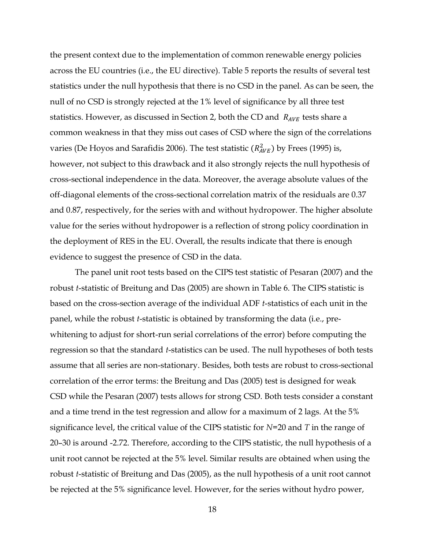the present context due to the implementation of common renewable energy policies across the EU countries (i.e., the EU directive). Table 5 reports the results of several test statistics under the null hypothesis that there is no CSD in the panel. As can be seen, the null of no CSD is strongly rejected at the 1% level of significance by all three test statistics. However, as discussed in Section 2, both the CD and  $R_{AVE}$  tests share a common weakness in that they miss out cases of CSD where the sign of the correlations varies (De Hoyos and Sarafidis 2006). The test statistic  $(R_{AVE}^2)$  by Frees (1995) is, however, not subject to this drawback and it also strongly rejects the null hypothesis of cross-sectional independence in the data. Moreover, the average absolute values of the off-diagonal elements of the cross-sectional correlation matrix of the residuals are 0.37 and 0.87, respectively, for the series with and without hydropower. The higher absolute value for the series without hydropower is a reflection of strong policy coordination in the deployment of RES in the EU. Overall, the results indicate that there is enough evidence to suggest the presence of CSD in the data.

 The panel unit root tests based on the CIPS test statistic of Pesaran (2007) and the robust *t*-statistic of Breitung and Das (2005) are shown in Table 6. The CIPS statistic is based on the cross-section average of the individual ADF *t*-statistics of each unit in the panel, while the robust *t*-statistic is obtained by transforming the data (i.e., prewhitening to adjust for short-run serial correlations of the error) before computing the regression so that the standard *t*-statistics can be used. The null hypotheses of both tests assume that all series are non-stationary. Besides, both tests are robust to cross-sectional correlation of the error terms: the Breitung and Das (2005) test is designed for weak CSD while the Pesaran (2007) tests allows for strong CSD. Both tests consider a constant and a time trend in the test regression and allow for a maximum of 2 lags. At the 5% significance level, the critical value of the CIPS statistic for *N*=20 and *T* in the range of 20–30 is around -2.72. Therefore, according to the CIPS statistic, the null hypothesis of a unit root cannot be rejected at the 5% level. Similar results are obtained when using the robust *t*-statistic of Breitung and Das (2005), as the null hypothesis of a unit root cannot be rejected at the 5% significance level. However, for the series without hydro power,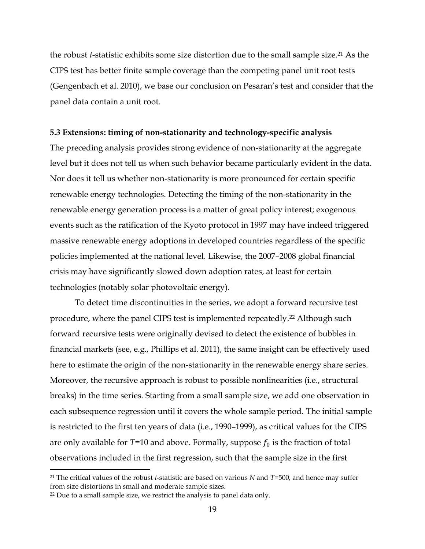the robust *t*-statistic exhibits some size distortion due to the small sample size.<sup>21</sup> As the CIPS test has better finite sample coverage than the competing panel unit root tests (Gengenbach et al. 2010), we base our conclusion on Pesaran's test and consider that the panel data contain a unit root.

#### **5.3 Extensions: timing of non-stationarity and technology-specific analysis**

The preceding analysis provides strong evidence of non-stationarity at the aggregate level but it does not tell us when such behavior became particularly evident in the data. Nor does it tell us whether non-stationarity is more pronounced for certain specific renewable energy technologies. Detecting the timing of the non-stationarity in the renewable energy generation process is a matter of great policy interest; exogenous events such as the ratification of the Kyoto protocol in 1997 may have indeed triggered massive renewable energy adoptions in developed countries regardless of the specific policies implemented at the national level. Likewise, the 2007–2008 global financial crisis may have significantly slowed down adoption rates, at least for certain technologies (notably solar photovoltaic energy).

To detect time discontinuities in the series, we adopt a forward recursive test procedure, where the panel CIPS test is implemented repeatedly.<sup>22</sup> Although such forward recursive tests were originally devised to detect the existence of bubbles in financial markets (see, e.g., Phillips et al. 2011), the same insight can be effectively used here to estimate the origin of the non-stationarity in the renewable energy share series. Moreover, the recursive approach is robust to possible nonlinearities (i.e., structural breaks) in the time series. Starting from a small sample size, we add one observation in each subsequence regression until it covers the whole sample period. The initial sample is restricted to the first ten years of data (i.e., 1990–1999), as critical values for the CIPS are only available for  $T=10$  and above. Formally, suppose  $f_0$  is the fraction of total observations included in the first regression, such that the sample size in the first

֦

<sup>21</sup> The critical values of the robust *t*-statistic are based on various *N* and *T*=500, and hence may suffer from size distortions in small and moderate sample sizes.

<sup>&</sup>lt;sup>22</sup> Due to a small sample size, we restrict the analysis to panel data only.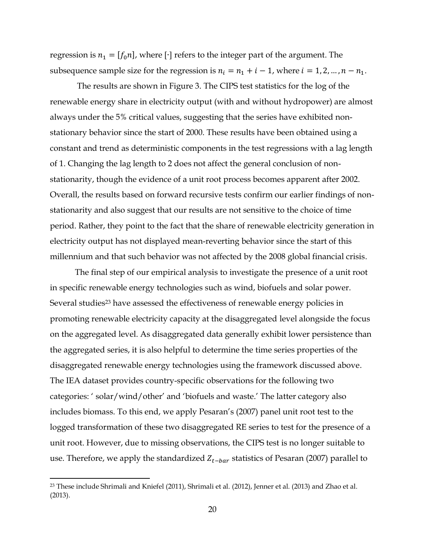regression is  $n_1 = [f_0 n]$ , where  $[\cdot]$  refers to the integer part of the argument. The subsequence sample size for the regression is  $n_i = n_1 + i - 1$ , where  $i = 1, 2, ..., n - n_1$ .

 The results are shown in Figure 3. The CIPS test statistics for the log of the renewable energy share in electricity output (with and without hydropower) are almost always under the 5% critical values, suggesting that the series have exhibited nonstationary behavior since the start of 2000. These results have been obtained using a constant and trend as deterministic components in the test regressions with a lag length of 1. Changing the lag length to 2 does not affect the general conclusion of nonstationarity, though the evidence of a unit root process becomes apparent after 2002. Overall, the results based on forward recursive tests confirm our earlier findings of nonstationarity and also suggest that our results are not sensitive to the choice of time period. Rather, they point to the fact that the share of renewable electricity generation in electricity output has not displayed mean-reverting behavior since the start of this millennium and that such behavior was not affected by the 2008 global financial crisis.

The final step of our empirical analysis to investigate the presence of a unit root in specific renewable energy technologies such as wind, biofuels and solar power. Several studies<sup>23</sup> have assessed the effectiveness of renewable energy policies in promoting renewable electricity capacity at the disaggregated level alongside the focus on the aggregated level. As disaggregated data generally exhibit lower persistence than the aggregated series, it is also helpful to determine the time series properties of the disaggregated renewable energy technologies using the framework discussed above. The IEA dataset provides country-specific observations for the following two categories: ' solar/wind/other' and 'biofuels and waste.' The latter category also includes biomass. To this end, we apply Pesaran's (2007) panel unit root test to the logged transformation of these two disaggregated RE series to test for the presence of a unit root. However, due to missing observations, the CIPS test is no longer suitable to use. Therefore, we apply the standardized  $Z_{t-bar}$  statistics of Pesaran (2007) parallel to

l

<sup>23</sup> These include Shrimali and Kniefel (2011), Shrimali et al. (2012), Jenner et al. (2013) and Zhao et al. (2013).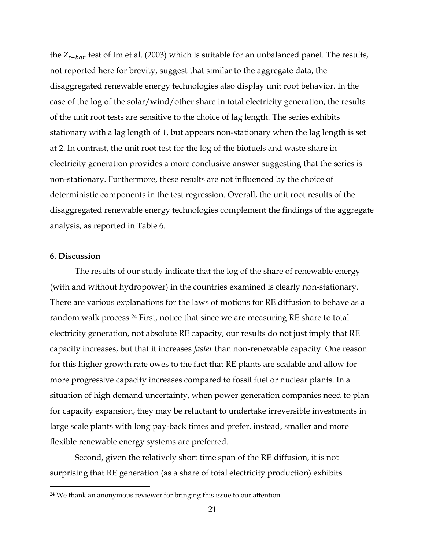the  $Z_{t-bar}$  test of Im et al. (2003) which is suitable for an unbalanced panel. The results, not reported here for brevity, suggest that similar to the aggregate data, the disaggregated renewable energy technologies also display unit root behavior. In the case of the log of the solar/wind/other share in total electricity generation, the results of the unit root tests are sensitive to the choice of lag length. The series exhibits stationary with a lag length of 1, but appears non-stationary when the lag length is set at 2. In contrast, the unit root test for the log of the biofuels and waste share in electricity generation provides a more conclusive answer suggesting that the series is non-stationary. Furthermore, these results are not influenced by the choice of deterministic components in the test regression. Overall, the unit root results of the disaggregated renewable energy technologies complement the findings of the aggregate analysis, as reported in Table 6.

#### **6. Discussion**

l

The results of our study indicate that the log of the share of renewable energy (with and without hydropower) in the countries examined is clearly non-stationary. There are various explanations for the laws of motions for RE diffusion to behave as a random walk process.<sup>24</sup> First, notice that since we are measuring RE share to total electricity generation, not absolute RE capacity, our results do not just imply that RE capacity increases, but that it increases *faster* than non-renewable capacity. One reason for this higher growth rate owes to the fact that RE plants are scalable and allow for more progressive capacity increases compared to fossil fuel or nuclear plants. In a situation of high demand uncertainty, when power generation companies need to plan for capacity expansion, they may be reluctant to undertake irreversible investments in large scale plants with long pay-back times and prefer, instead, smaller and more flexible renewable energy systems are preferred.

Second, given the relatively short time span of the RE diffusion, it is not surprising that RE generation (as a share of total electricity production) exhibits

<sup>&</sup>lt;sup>24</sup> We thank an anonymous reviewer for bringing this issue to our attention.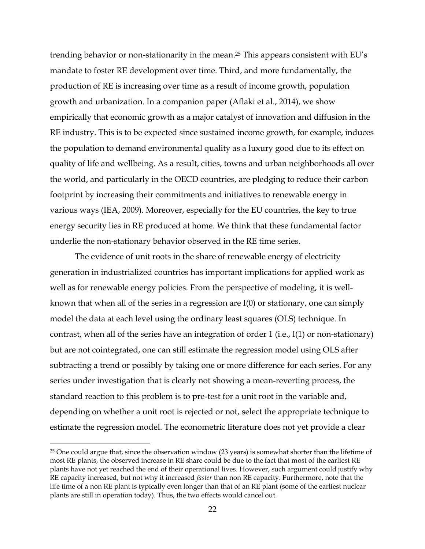trending behavior or non-stationarity in the mean.<sup>25</sup> This appears consistent with EU's mandate to foster RE development over time. Third, and more fundamentally, the production of RE is increasing over time as a result of income growth, population growth and urbanization. In a companion paper (Aflaki et al., 2014), we show empirically that economic growth as a major catalyst of innovation and diffusion in the RE industry. This is to be expected since sustained income growth, for example, induces the population to demand environmental quality as a luxury good due to its effect on quality of life and wellbeing. As a result, cities, towns and urban neighborhoods all over the world, and particularly in the OECD countries, are pledging to reduce their carbon footprint by increasing their commitments and initiatives to renewable energy in various ways (IEA, 2009). Moreover, especially for the EU countries, the key to true energy security lies in RE produced at home. We think that these fundamental factor underlie the non-stationary behavior observed in the RE time series.

The evidence of unit roots in the share of renewable energy of electricity generation in industrialized countries has important implications for applied work as well as for renewable energy policies. From the perspective of modeling, it is wellknown that when all of the series in a regression are I(0) or stationary, one can simply model the data at each level using the ordinary least squares (OLS) technique. In contrast, when all of the series have an integration of order 1 (i.e., I(1) or non-stationary) but are not cointegrated, one can still estimate the regression model using OLS after subtracting a trend or possibly by taking one or more difference for each series. For any series under investigation that is clearly not showing a mean-reverting process, the standard reaction to this problem is to pre-test for a unit root in the variable and, depending on whether a unit root is rejected or not, select the appropriate technique to estimate the regression model. The econometric literature does not yet provide a clear

l

 $25$  One could argue that, since the observation window (23 years) is somewhat shorter than the lifetime of most RE plants, the observed increase in RE share could be due to the fact that most of the earliest RE plants have not yet reached the end of their operational lives. However, such argument could justify why RE capacity increased, but not why it increased *faster* than non RE capacity. Furthermore, note that the life time of a non RE plant is typically even longer than that of an RE plant (some of the earliest nuclear plants are still in operation today). Thus, the two effects would cancel out.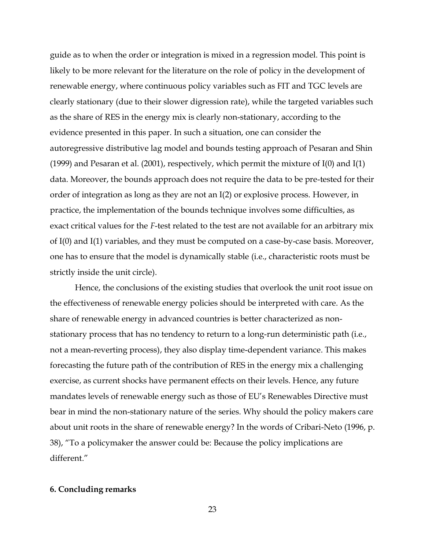guide as to when the order or integration is mixed in a regression model. This point is likely to be more relevant for the literature on the role of policy in the development of renewable energy, where continuous policy variables such as FIT and TGC levels are clearly stationary (due to their slower digression rate), while the targeted variables such as the share of RES in the energy mix is clearly non-stationary, according to the evidence presented in this paper. In such a situation, one can consider the autoregressive distributive lag model and bounds testing approach of Pesaran and Shin (1999) and Pesaran et al. (2001), respectively, which permit the mixture of I(0) and I(1) data. Moreover, the bounds approach does not require the data to be pre-tested for their order of integration as long as they are not an I(2) or explosive process. However, in practice, the implementation of the bounds technique involves some difficulties, as exact critical values for the *F*-test related to the test are not available for an arbitrary mix of I(0) and I(1) variables, and they must be computed on a case-by-case basis. Moreover, one has to ensure that the model is dynamically stable (i.e., characteristic roots must be strictly inside the unit circle).

Hence, the conclusions of the existing studies that overlook the unit root issue on the effectiveness of renewable energy policies should be interpreted with care. As the share of renewable energy in advanced countries is better characterized as nonstationary process that has no tendency to return to a long-run deterministic path (i.e., not a mean-reverting process), they also display time-dependent variance. This makes forecasting the future path of the contribution of RES in the energy mix a challenging exercise, as current shocks have permanent effects on their levels. Hence, any future mandates levels of renewable energy such as those of EU's Renewables Directive must bear in mind the non-stationary nature of the series. Why should the policy makers care about unit roots in the share of renewable energy? In the words of Cribari-Neto (1996, p. 38), "To a policymaker the answer could be: Because the policy implications are different."

#### **6. Concluding remarks**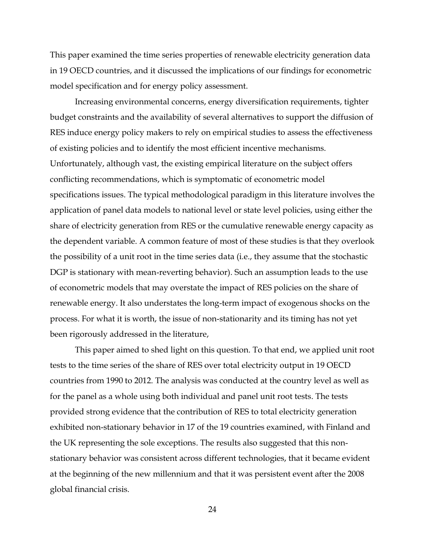This paper examined the time series properties of renewable electricity generation data in 19 OECD countries, and it discussed the implications of our findings for econometric model specification and for energy policy assessment.

Increasing environmental concerns, energy diversification requirements, tighter budget constraints and the availability of several alternatives to support the diffusion of RES induce energy policy makers to rely on empirical studies to assess the effectiveness of existing policies and to identify the most efficient incentive mechanisms. Unfortunately, although vast, the existing empirical literature on the subject offers conflicting recommendations, which is symptomatic of econometric model specifications issues. The typical methodological paradigm in this literature involves the application of panel data models to national level or state level policies, using either the share of electricity generation from RES or the cumulative renewable energy capacity as the dependent variable. A common feature of most of these studies is that they overlook the possibility of a unit root in the time series data (i.e., they assume that the stochastic DGP is stationary with mean-reverting behavior). Such an assumption leads to the use of econometric models that may overstate the impact of RES policies on the share of renewable energy. It also understates the long-term impact of exogenous shocks on the process. For what it is worth, the issue of non-stationarity and its timing has not yet been rigorously addressed in the literature,

This paper aimed to shed light on this question. To that end, we applied unit root tests to the time series of the share of RES over total electricity output in 19 OECD countries from 1990 to 2012. The analysis was conducted at the country level as well as for the panel as a whole using both individual and panel unit root tests. The tests provided strong evidence that the contribution of RES to total electricity generation exhibited non-stationary behavior in 17 of the 19 countries examined, with Finland and the UK representing the sole exceptions. The results also suggested that this nonstationary behavior was consistent across different technologies, that it became evident at the beginning of the new millennium and that it was persistent event after the 2008 global financial crisis.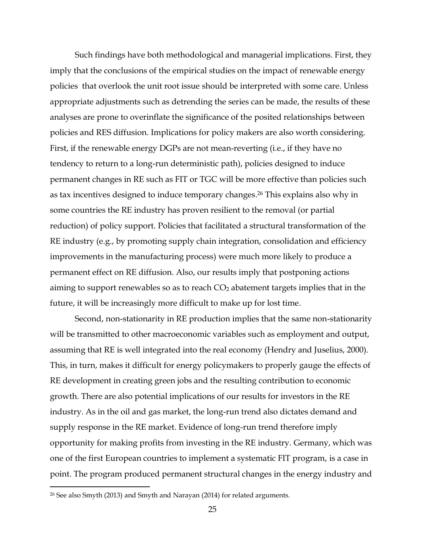Such findings have both methodological and managerial implications. First, they imply that the conclusions of the empirical studies on the impact of renewable energy policies that overlook the unit root issue should be interpreted with some care. Unless appropriate adjustments such as detrending the series can be made, the results of these analyses are prone to overinflate the significance of the posited relationships between policies and RES diffusion. Implications for policy makers are also worth considering. First, if the renewable energy DGPs are not mean-reverting (i.e., if they have no tendency to return to a long-run deterministic path), policies designed to induce permanent changes in RE such as FIT or TGC will be more effective than policies such as tax incentives designed to induce temporary changes.<sup>26</sup> This explains also why in some countries the RE industry has proven resilient to the removal (or partial reduction) of policy support. Policies that facilitated a structural transformation of the RE industry (e.g., by promoting supply chain integration, consolidation and efficiency improvements in the manufacturing process) were much more likely to produce a permanent effect on RE diffusion. Also, our results imply that postponing actions aiming to support renewables so as to reach  $CO<sub>2</sub>$  abatement targets implies that in the future, it will be increasingly more difficult to make up for lost time.

Second, non-stationarity in RE production implies that the same non-stationarity will be transmitted to other macroeconomic variables such as employment and output, assuming that RE is well integrated into the real economy (Hendry and Juselius, 2000). This, in turn, makes it difficult for energy policymakers to properly gauge the effects of RE development in creating green jobs and the resulting contribution to economic growth. There are also potential implications of our results for investors in the RE industry. As in the oil and gas market, the long-run trend also dictates demand and supply response in the RE market. Evidence of long-run trend therefore imply opportunity for making profits from investing in the RE industry. Germany, which was one of the first European countries to implement a systematic FIT program, is a case in point. The program produced permanent structural changes in the energy industry and

l

<sup>26</sup> See also Smyth (2013) and Smyth and Narayan (2014) for related arguments.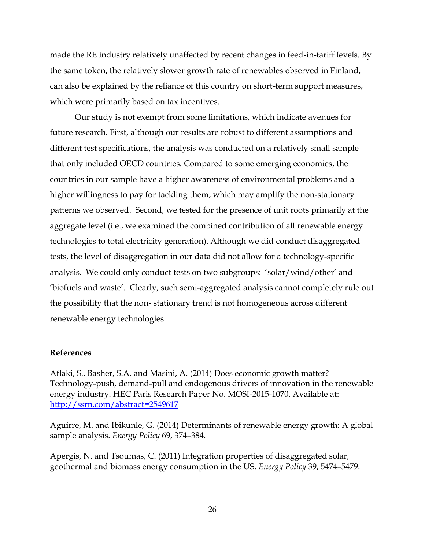made the RE industry relatively unaffected by recent changes in feed-in-tariff levels. By the same token, the relatively slower growth rate of renewables observed in Finland, can also be explained by the reliance of this country on short-term support measures, which were primarily based on tax incentives.

Our study is not exempt from some limitations, which indicate avenues for future research. First, although our results are robust to different assumptions and different test specifications, the analysis was conducted on a relatively small sample that only included OECD countries. Compared to some emerging economies, the countries in our sample have a higher awareness of environmental problems and a higher willingness to pay for tackling them, which may amplify the non-stationary patterns we observed. Second, we tested for the presence of unit roots primarily at the aggregate level (i.e., we examined the combined contribution of all renewable energy technologies to total electricity generation). Although we did conduct disaggregated tests, the level of disaggregation in our data did not allow for a technology-specific analysis. We could only conduct tests on two subgroups: 'solar/wind/other' and 'biofuels and waste'. Clearly, such semi-aggregated analysis cannot completely rule out the possibility that the non- stationary trend is not homogeneous across different renewable energy technologies.

### **References**

Aflaki, S., Basher, S.A. and Masini, A. (2014) Does economic growth matter? Technology-push, demand-pull and endogenous drivers of innovation in the renewable energy industry. HEC Paris Research Paper No. MOSI-2015-1070. Available at: <http://ssrn.com/abstract=2549617>

Aguirre, M. and Ibikunle, G. (2014) Determinants of renewable energy growth: A global sample analysis. *Energy Policy* 69, 374–384.

Apergis, N. and Tsoumas, C. (2011) Integration properties of disaggregated solar, geothermal and biomass energy consumption in the US. *Energy Policy* 39, 5474–5479.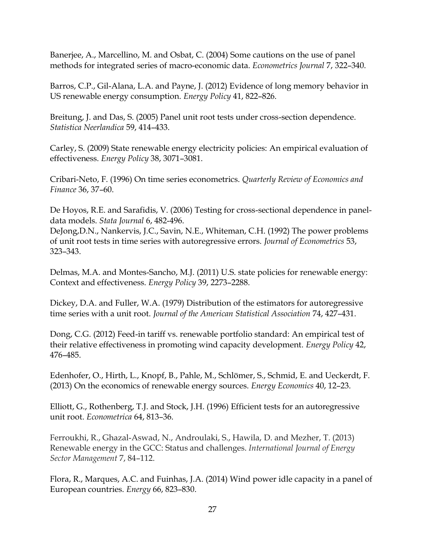Banerjee, A., Marcellino, M. and Osbat, C. (2004) Some cautions on the use of panel methods for integrated series of macro-economic data. *Econometrics Journal* 7, 322–340.

Barros, C.P., Gil-Alana, L.A. and Payne, J. (2012) Evidence of long memory behavior in US renewable energy consumption. *Energy Policy* 41, 822–826.

Breitung, J. and Das, S. (2005) Panel unit root tests under cross-section dependence. *Statistica Neerlandica* 59, 414–433.

Carley, S. (2009) State renewable energy electricity policies: An empirical evaluation of effectiveness. *Energy Policy* 38, 3071–3081.

Cribari-Neto, F. (1996) On time series econometrics. *Quarterly Review of Economics and Finance* 36, 37–60.

De Hoyos, R.E. and Sarafidis, V. (2006) Testing for cross-sectional dependence in paneldata models. *Stata Journal* 6, 482-496.

DeJong,D.N., Nankervis, J.C., Savin, N.E., Whiteman, C.H. (1992) The power problems of unit root tests in time series with autoregressive errors. *Journal of Econometrics* 53, 323–343.

Delmas, M.A. and Montes-Sancho, M.J. (2011) U.S. state policies for renewable energy: Context and effectiveness. *Energy Policy* 39, 2273–2288.

Dickey, D.A. and Fuller, W.A. (1979) Distribution of the estimators for autoregressive time series with a unit root. *Journal of the American Statistical Association* 74, 427–431.

Dong, C.G. (2012) Feed-in tariff vs. renewable portfolio standard: An empirical test of their relative effectiveness in promoting wind capacity development. *Energy Policy* 42, 476–485.

Edenhofer, O., Hirth, L., Knopf, B., Pahle, M., Schlömer, S., Schmid, E. and Ueckerdt, F. (2013) On the economics of renewable energy sources. *Energy Economics* 40, 12–23.

Elliott, G., Rothenberg, T.J. and Stock, J.H. (1996) Efficient tests for an autoregressive unit root. *Econometrica* 64, 813–36.

Ferroukhi, R., Ghazal-Aswad, N., Androulaki, S., Hawila, D. and Mezher, T. (2013) Renewable energy in the GCC: Status and challenges. *International Journal of Energy Sector Management* 7, 84–112.

Flora, R., Marques, A.C. and Fuinhas, J.A. (2014) Wind power idle capacity in a panel of European countries. *Energy* 66, 823–830.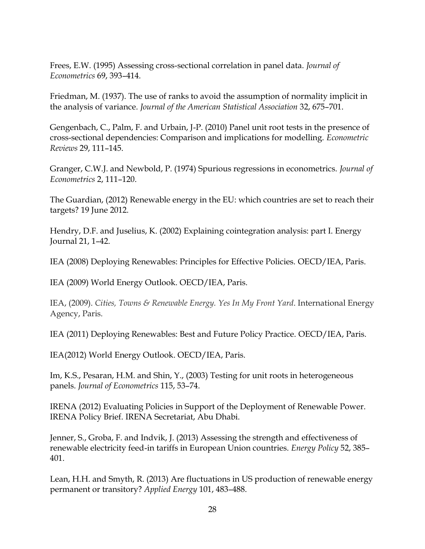Frees, E.W. (1995) Assessing cross-sectional correlation in panel data. *Journal of Econometrics* 69, 393–414.

Friedman, M. (1937). The use of ranks to avoid the assumption of normality implicit in the analysis of variance. *Journal of the American Statistical Association* 32, 675–701.

Gengenbach, C., Palm, F. and Urbain, J-P. (2010) Panel unit root tests in the presence of cross-sectional dependencies: Comparison and implications for modelling. *Econometric Reviews* 29, 111–145.

Granger, C.W.J. and Newbold, P. (1974) Spurious regressions in econometrics. *Journal of Econometrics* 2, 111–120.

The Guardian, (2012) Renewable energy in the EU: which countries are set to reach their targets? 19 June 2012.

Hendry, D.F. and Juselius, K. (2002) Explaining cointegration analysis: part I. Energy Journal 21, 1–42.

IEA (2008) Deploying Renewables: Principles for Effective Policies. OECD/IEA, Paris.

IEA (2009) World Energy Outlook. OECD/IEA, Paris.

IEA, (2009). *Cities, Towns & Renewable Energy. Yes In My Front Yard*. International Energy Agency, Paris.

IEA (2011) Deploying Renewables: Best and Future Policy Practice. OECD/IEA, Paris.

IEA(2012) World Energy Outlook. OECD/IEA, Paris.

Im, K.S., Pesaran, H.M. and Shin, Y., (2003) Testing for unit roots in heterogeneous panels. *Journal of Econometrics* 115, 53–74.

IRENA (2012) Evaluating Policies in Support of the Deployment of Renewable Power. IRENA Policy Brief. IRENA Secretariat, Abu Dhabi.

Jenner, S., Groba, F. and Indvik, J. (2013) Assessing the strength and effectiveness of renewable electricity feed-in tariffs in European Union countries. *Energy Policy* 52, 385– 401.

Lean, H.H. and Smyth, R. (2013) Are fluctuations in US production of renewable energy permanent or transitory? *Applied Energy* 101, 483–488.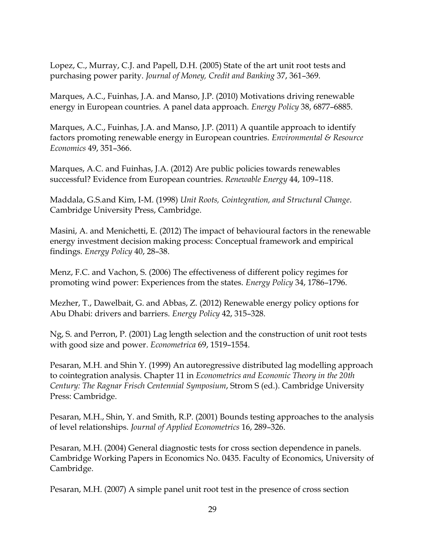Lopez, C., Murray, C.J. and Papell, D.H. (2005) State of the art unit root tests and purchasing power parity. *Journal of Money, Credit and Banking* 37, 361–369.

Marques, A.C., Fuinhas, J.A. and Manso, J.P. (2010) Motivations driving renewable energy in European countries. A panel data approach. *Energy Policy* 38, 6877–6885.

Marques, A.C., Fuinhas, J.A. and Manso, J.P. (2011) A quantile approach to identify factors promoting renewable energy in European countries. *Environmental & Resource Economics* 49, 351–366.

Marques, A.C. and Fuinhas, J.A. (2012) Are public policies towards renewables successful? Evidence from European countries. *Renewable Energy* 44, 109–118.

Maddala, G.S.and Kim, I-M. (1998) *Unit Roots, Cointegration, and Structural Change*. Cambridge University Press, Cambridge.

Masini, A. and Menichetti, E. (2012) The impact of behavioural factors in the renewable energy investment decision making process: Conceptual framework and empirical findings. *Energy Policy* 40, 28–38.

Menz, F.C. and Vachon, S. (2006) The effectiveness of different policy regimes for promoting wind power: Experiences from the states. *Energy Policy* 34, 1786–1796.

Mezher, T., Dawelbait, G. and Abbas, Z. (2012) Renewable energy policy options for Abu Dhabi: drivers and barriers. *Energy Policy* 42, 315–328.

Ng, S. and Perron, P. (2001) Lag length selection and the construction of unit root tests with good size and power. *Econometrica* 69, 1519–1554.

Pesaran, M.H. and Shin Y. (1999) An autoregressive distributed lag modelling approach to cointegration analysis. Chapter 11 in *Econometrics and Economic Theory in the 20th Century: The Ragnar Frisch Centennial Symposium*, Strom S (ed.). Cambridge University Press: Cambridge.

Pesaran, M.H., Shin, Y. and Smith, R.P. (2001) Bounds testing approaches to the analysis of level relationships. *Journal of Applied Econometrics* 16, 289–326.

Pesaran, M.H. (2004) General diagnostic tests for cross section dependence in panels. Cambridge Working Papers in Economics No. 0435. Faculty of Economics, University of Cambridge.

Pesaran, M.H. (2007) A simple panel unit root test in the presence of cross section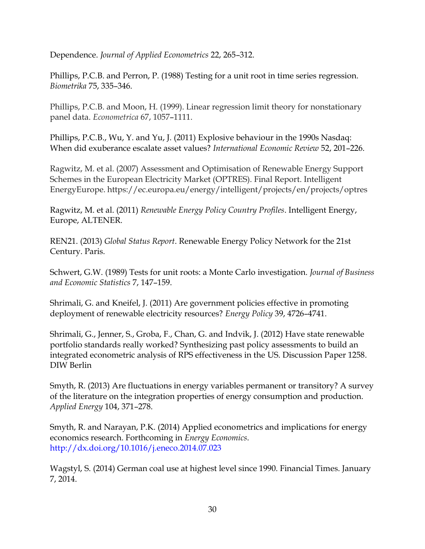Dependence. *Journal of Applied Econometrics* 22, 265–312.

Phillips, P.C.B. and Perron, P. (1988) Testing for a unit root in time series regression. *Biometrika* 75, 335–346.

Phillips, P.C.B. and Moon, H. (1999). Linear regression limit theory for nonstationary panel data. *Econometrica* 67, 1057–1111.

Phillips, P.C.B., Wu, Y. and Yu, J. (2011) Explosive behaviour in the 1990s Nasdaq: When did exuberance escalate asset values? *International Economic Review* 52, 201–226.

Ragwitz, M. et al. (2007) Assessment and Optimisation of Renewable Energy Support Schemes in the European Electricity Market (OPTRES). Final Report. Intelligent EnergyEurope. https://ec.europa.eu/energy/intelligent/projects/en/projects/optres

Ragwitz, M. et al. (2011) *Renewable Energy Policy Country Profiles*. Intelligent Energy, Europe, ALTENER.

REN21. (2013) *Global Status Report*. Renewable Energy Policy Network for the 21st Century. Paris.

Schwert, G.W. (1989) Tests for unit roots: a Monte Carlo investigation. *Journal of Business and Economic Statistics* 7, 147–159.

Shrimali, G. and Kneifel, J. (2011) Are government policies effective in promoting deployment of renewable electricity resources? *Energy Policy* 39, 4726–4741.

Shrimali, G., Jenner, S., Groba, F., Chan, G. and Indvik, J. (2012) Have state renewable portfolio standards really worked? Synthesizing past policy assessments to build an integrated econometric analysis of RPS effectiveness in the US. Discussion Paper 1258. DIW Berlin

Smyth, R. (2013) Are fluctuations in energy variables permanent or transitory? A survey of the literature on the integration properties of energy consumption and production. *Applied Energy* 104, 371–278.

Smyth, R. and Narayan, P.K. (2014) Applied econometrics and implications for energy economics research. Forthcoming in *Energy Economics*. http://dx.doi.org/10.1016/j.eneco.2014.07.023

Wagstyl, S. (2014) German coal use at highest level since 1990. Financial Times. January 7, 2014.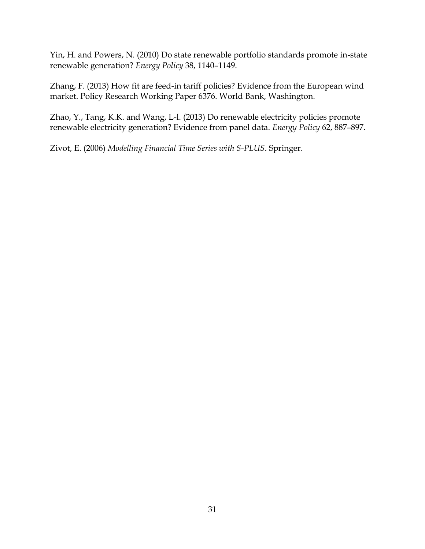Yin, H. and Powers, N. (2010) Do state renewable portfolio standards promote in-state renewable generation? *Energy Policy* 38, 1140–1149.

Zhang, F. (2013) How fit are feed-in tariff policies? Evidence from the European wind market. Policy Research Working Paper 6376. World Bank, Washington.

Zhao, Y., Tang, K.K. and Wang, L-l. (2013) Do renewable electricity policies promote renewable electricity generation? Evidence from panel data. *Energy Policy* 62, 887–897.

Zivot, E. (2006) *Modelling Financial Time Series with S-PLUS*. Springer.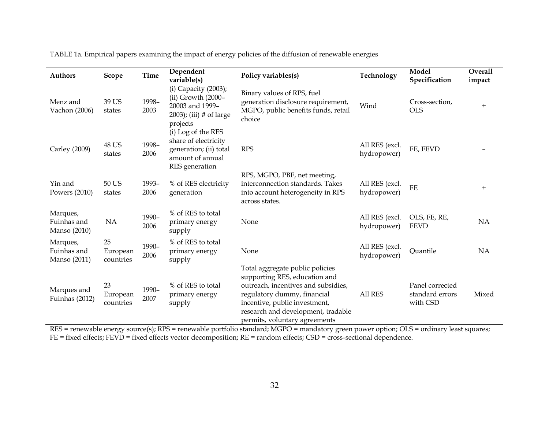| <b>Authors</b>                          | Scope                       | <b>Time</b>   | Dependent<br>variable(s)                                                                                   | Policy variables(s)                                                                                                                                                                                                                            | Technology                    | Model<br>Specification                         | Overall<br>impact |
|-----------------------------------------|-----------------------------|---------------|------------------------------------------------------------------------------------------------------------|------------------------------------------------------------------------------------------------------------------------------------------------------------------------------------------------------------------------------------------------|-------------------------------|------------------------------------------------|-------------------|
| Menz and<br>Vachon (2006)               | 39 US<br>states             | 1998-<br>2003 | (i) Capacity (2003);<br>(ii) Growth (2000-<br>20003 and 1999-<br>$2003$ ; (iii) # of large<br>projects     | Binary values of RPS, fuel<br>generation disclosure requirement,<br>MGPO, public benefits funds, retail<br>choice                                                                                                                              | Wind                          | Cross-section,<br><b>OLS</b>                   | $\ddot{}$         |
| Carley (2009)                           | <b>48 US</b><br>states      | 1998-<br>2006 | (i) Log of the RES<br>share of electricity<br>generation; (ii) total<br>amount of annual<br>RES generation | <b>RPS</b>                                                                                                                                                                                                                                     | All RES (excl.<br>hydropower) | FE, FEVD                                       |                   |
| Yin and<br>Powers (2010)                | 50 US<br>states             | 1993-<br>2006 | % of RES electricity<br>generation                                                                         | RPS, MGPO, PBF, net meeting,<br>interconnection standards. Takes<br>into account heterogeneity in RPS<br>across states.                                                                                                                        | All RES (excl.<br>hydropower) | <b>FE</b>                                      | $+$               |
| Marques,<br>Fuinhas and<br>Manso (2010) | <b>NA</b>                   | 1990-<br>2006 | % of RES to total<br>primary energy<br>supply                                                              | None                                                                                                                                                                                                                                           | All RES (excl.<br>hydropower) | OLS, FE, RE,<br><b>FEVD</b>                    | NA                |
| Marques,<br>Fuinhas and<br>Manso (2011) | 25<br>European<br>countries | 1990-<br>2006 | % of RES to total<br>primary energy<br>supply                                                              | None                                                                                                                                                                                                                                           | All RES (excl.<br>hydropower) | Quantile                                       | NA                |
| Marques and<br>Fuinhas (2012)           | 23<br>European<br>countries | 1990-<br>2007 | % of RES to total<br>primary energy<br>supply                                                              | Total aggregate public policies<br>supporting RES, education and<br>outreach, incentives and subsidies,<br>regulatory dummy, financial<br>incentive, public investment,<br>research and development, tradable<br>permits, voluntary agreements | All RES                       | Panel corrected<br>standard errors<br>with CSD | Mixed             |

TABLE 1a. Empirical papers examining the impact of energy policies of the diffusion of renewable energies

RES = renewable energy source(s); RPS = renewable portfolio standard; MGPO = mandatory green power option; OLS = ordinary least squares; FE = fixed effects; FEVD = fixed effects vector decomposition; RE = random effects; CSD = cross-sectional dependence.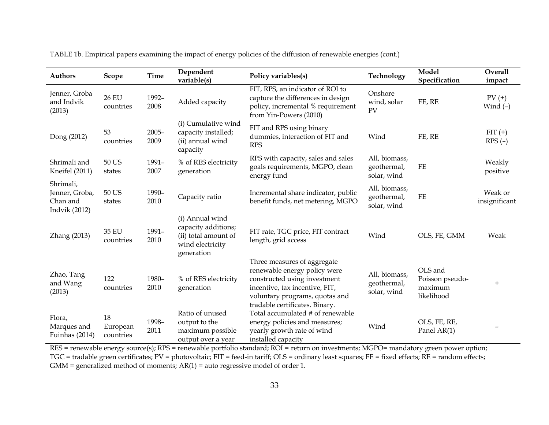| <b>Authors</b>                                           | <b>Scope</b>                | Time             | Dependent<br>variable(s)                                                                         | Policy variables(s)                                                                                                                                                                               | Technology                                  | Model<br>Specification                              | Overall<br>impact        |
|----------------------------------------------------------|-----------------------------|------------------|--------------------------------------------------------------------------------------------------|---------------------------------------------------------------------------------------------------------------------------------------------------------------------------------------------------|---------------------------------------------|-----------------------------------------------------|--------------------------|
| Jenner, Groba<br>and Indvik<br>(2013)                    | <b>26 EU</b><br>countries   | 1992-<br>2008    | Added capacity                                                                                   | FIT, RPS, an indicator of ROI to<br>capture the differences in design<br>policy, incremental % requirement<br>from Yin-Powers (2010)                                                              | Onshore<br>wind, solar<br>PV                | FE, RE                                              | $PV$ $(+)$<br>Wind $(-)$ |
| Dong (2012)                                              | 53<br>countries             | $2005 -$<br>2009 | (i) Cumulative wind<br>capacity installed;<br>(ii) annual wind<br>capacity                       | FIT and RPS using binary<br>dummies, interaction of FIT and<br><b>RPS</b>                                                                                                                         | Wind                                        | FE, RE                                              | $FIT (+)$<br>$RPS(-)$    |
| Shrimali and<br>Kneifel (2011)                           | 50 US<br>states             | 1991-<br>2007    | % of RES electricity<br>generation                                                               | RPS with capacity, sales and sales<br>goals requirements, MGPO, clean<br>energy fund                                                                                                              | All, biomass,<br>geothermal,<br>solar, wind | $\rm FE$                                            | Weakly<br>positive       |
| Shrimali,<br>Jenner, Groba,<br>Chan and<br>Indvik (2012) | 50 US<br>states             | 1990-<br>2010    | Capacity ratio                                                                                   | Incremental share indicator, public<br>benefit funds, net metering, MGPO                                                                                                                          | All, biomass,<br>geothermal,<br>solar, wind | $FE$                                                | Weak or<br>insignificant |
| Zhang (2013)                                             | 35 EU<br>countries          | 1991-<br>2010    | (i) Annual wind<br>capacity additions;<br>(ii) total amount of<br>wind electricity<br>generation | FIT rate, TGC price, FIT contract<br>length, grid access                                                                                                                                          | Wind                                        | OLS, FE, GMM                                        | Weak                     |
| Zhao, Tang<br>and Wang<br>(2013)                         | 122<br>countries            | 1980-<br>2010    | % of RES electricity<br>generation                                                               | Three measures of aggregate<br>renewable energy policy were<br>constructed using investment<br>incentive, tax incentive, FIT,<br>voluntary programs, quotas and<br>tradable certificates. Binary. | All, biomass,<br>geothermal,<br>solar, wind | OLS and<br>Poisson pseudo-<br>maximum<br>likelihood | $+$                      |
| Flora,<br>Marques and<br>Fuinhas (2014)                  | 18<br>European<br>countries | 1998-<br>2011    | Ratio of unused<br>output to the<br>maximum possible<br>output over a year                       | Total accumulated # of renewable<br>energy policies and measures;<br>yearly growth rate of wind<br>installed capacity                                                                             | Wind                                        | OLS, FE, RE,<br>Panel AR(1)                         |                          |

TABLE 1b. Empirical papers examining the impact of energy policies of the diffusion of renewable energies (cont.)

RES = renewable energy source(s); RPS = renewable portfolio standard; ROI = return on investments; MGPO= mandatory green power option; TGC = tradable green certificates; PV = photovoltaic; FIT = feed-in tariff; OLS = ordinary least squares; FE = fixed effects; RE = random effects;  $GMM =$  generalized method of moments;  $AR(1) =$  auto regressive model of order 1.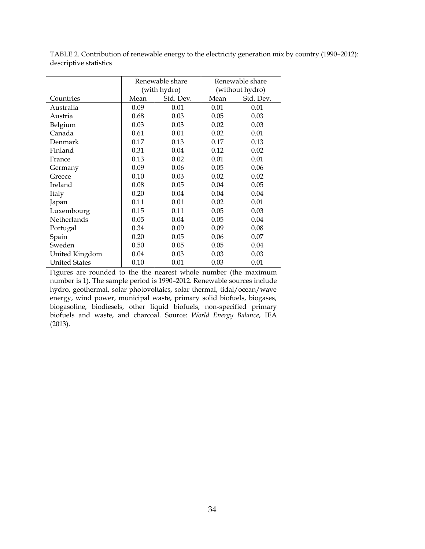|                      |              | Renewable share |                 | Renewable share |
|----------------------|--------------|-----------------|-----------------|-----------------|
|                      | (with hydro) |                 | (without hydro) |                 |
| Countries            | Mean         | Std. Dev.       | Mean            | Std. Dev.       |
| Australia            | 0.09         | 0.01            | 0.01            | 0.01            |
| Austria              | 0.68         | 0.03            | 0.05            | 0.03            |
| Belgium              | 0.03         | 0.03            | 0.02            | 0.03            |
| Canada               | 0.61         | 0.01            | 0.02            | 0.01            |
| Denmark              | 0.17         | 0.13            | 0.17            | 0.13            |
| Finland              | 0.31         | 0.04            | 0.12            | 0.02            |
| France               | 0.13         | 0.02            | 0.01            | 0.01            |
| Germany              | 0.09         | 0.06            | 0.05            | 0.06            |
| Greece               | 0.10         | 0.03            | 0.02            | 0.02            |
| Ireland              | 0.08         | 0.05            | 0.04            | 0.05            |
| Italy                | 0.20         | 0.04            | 0.04            | 0.04            |
| Japan                | 0.11         | 0.01            | 0.02            | 0.01            |
| Luxembourg           | 0.15         | 0.11            | 0.05            | 0.03            |
| Netherlands          | 0.05         | 0.04            | 0.05            | 0.04            |
| Portugal             | 0.34         | 0.09            | 0.09            | 0.08            |
| Spain                | 0.20         | 0.05            | 0.06            | 0.07            |
| Sweden               | 0.50         | 0.05            | 0.05            | 0.04            |
| United Kingdom       | 0.04         | 0.03            | 0.03            | 0.03            |
| <b>United States</b> | 0.10         | 0.01            | 0.03            | 0.01            |

TABLE 2. Contribution of renewable energy to the electricity generation mix by country (1990–2012): descriptive statistics

Figures are rounded to the the nearest whole number (the maximum number is 1). The sample period is 1990–2012. Renewable sources include hydro, geothermal, solar photovoltaics, solar thermal, tidal/ocean/wave energy, wind power, municipal waste, primary solid biofuels, biogases, biogasoline, biodiesels, other liquid biofuels, non-specified primary biofuels and waste, and charcoal. Source: *World Energy Balance*, IEA (2013).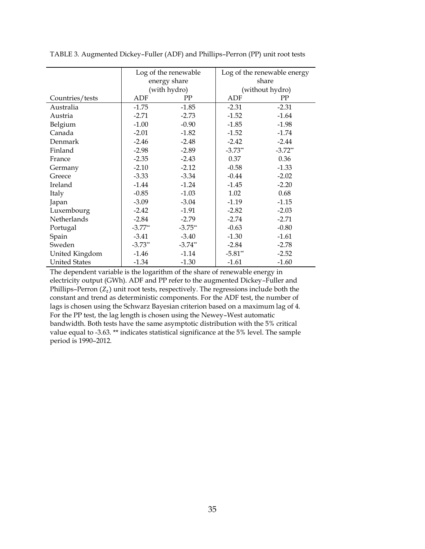|                      | Log of the renewable |              | Log of the renewable energy |           |
|----------------------|----------------------|--------------|-----------------------------|-----------|
|                      | energy share         |              | share                       |           |
|                      |                      | (with hydro) | (without hydro)             |           |
| Countries/tests      | ADF                  | PP           | ADF                         | PP        |
| Australia            | $-1.75$              | $-1.85$      | $-2.31$                     | $-2.31$   |
| Austria              | $-2.71$              | $-2.73$      | $-1.52$                     | $-1.64$   |
| Belgium              | $-1.00$              | $-0.90$      | $-1.85$                     | $-1.98$   |
| Canada               | $-2.01$              | $-1.82$      | $-1.52$                     | $-1.74$   |
| Denmark              | $-2.46$              | $-2.48$      | $-2.42$                     | $-2.44$   |
| Finland              | $-2.98$              | $-2.89$      | $-3.73**$                   | $-3.72**$ |
| France               | $-2.35$              | $-2.43$      | 0.37                        | 0.36      |
| Germany              | $-2.10$              | $-2.12$      | $-0.58$                     | $-1.33$   |
| Greece               | $-3.33$              | $-3.34$      | $-0.44$                     | $-2.02$   |
| Ireland              | $-1.44$              | $-1.24$      | $-1.45$                     | $-2.20$   |
| Italy                | $-0.85$              | $-1.03$      | 1.02                        | 0.68      |
| Japan                | $-3.09$              | $-3.04$      | $-1.19$                     | $-1.15$   |
| Luxembourg           | $-2.42$              | $-1.91$      | $-2.82$                     | $-2.03$   |
| Netherlands          | $-2.84$              | $-2.79$      | $-2.74$                     | $-2.71$   |
| Portugal             | $-3.77**$            | $-3.75$ **   | $-0.63$                     | $-0.80$   |
| Spain                | $-3.41$              | $-3.40$      | $-1.30$                     | $-1.61$   |
| Sweden               | $-3.73**$            | $-3.74**$    | $-2.84$                     | $-2.78$   |
| United Kingdom       | $-1.46$              | $-1.14$      | $-5.81**$                   | $-2.52$   |
| <b>United States</b> | $-1.34$              | $-1.30$      | $-1.61$                     | $-1.60$   |

TABLE 3. Augmented Dickey–Fuller (ADF) and Phillips–Perron (PP) unit root tests

The dependent variable is the logarithm of the share of renewable energy in electricity output (GWh). ADF and PP refer to the augmented Dickey–Fuller and Phillips–Perron  $(Z_t)$  unit root tests, respectively. The regressions include both the constant and trend as deterministic components. For the ADF test, the number of lags is chosen using the Schwarz Bayesian criterion based on a maximum lag of 4. For the PP test, the lag length is chosen using the Newey–West automatic bandwidth. Both tests have the same asymptotic distribution with the 5% critical value equal to -3.63. \*\* indicates statistical significance at the 5% level. The sample period is 1990–2012.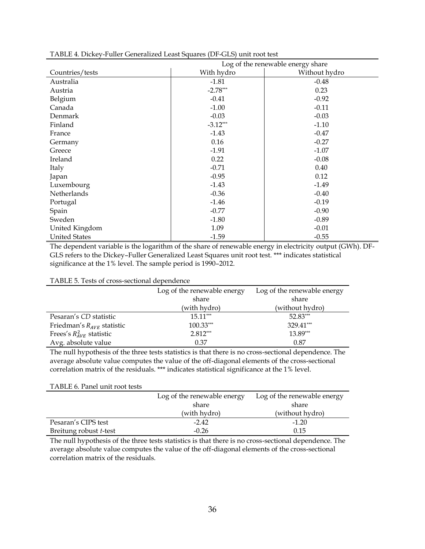|                      | Log of the renewable energy share |               |  |
|----------------------|-----------------------------------|---------------|--|
| Countries/tests      | With hydro                        | Without hydro |  |
| Australia            | $-1.81$                           | $-0.48$       |  |
| Austria              | $-2.78***$                        | 0.23          |  |
| Belgium              | $-0.41$                           | $-0.92$       |  |
| Canada               | $-1.00$                           | $-0.11$       |  |
| Denmark              | $-0.03$                           | $-0.03$       |  |
| Finland              | $-3.12***$                        | $-1.10$       |  |
| France               | $-1.43$                           | $-0.47$       |  |
| Germany              | 0.16                              | $-0.27$       |  |
| Greece               | $-1.91$                           | $-1.07$       |  |
| Ireland              | 0.22                              | $-0.08$       |  |
| Italy                | $-0.71$                           | 0.40          |  |
| Japan                | $-0.95$                           | 0.12          |  |
| Luxembourg           | $-1.43$                           | $-1.49$       |  |
| Netherlands          | $-0.36$                           | $-0.40$       |  |
| Portugal             | $-1.46$                           | $-0.19$       |  |
| Spain                | $-0.77$                           | $-0.90$       |  |
| Sweden               | $-1.80$                           | $-0.89$       |  |
| United Kingdom       | 1.09                              | $-0.01$       |  |
| <b>United States</b> | $-1.59$                           | $-0.55$       |  |

TABLE 4. Dickey-Fuller Generalized Least Squares (DF-GLS) unit root test

The dependent variable is the logarithm of the share of renewable energy in electricity output (GWh). DF-GLS refers to the Dickey–Fuller Generalized Least Squares unit root test. \*\*\* indicates statistical significance at the 1% level. The sample period is 1990–2012.

#### TABLE 5. Tests of cross-sectional dependence

|                                | Log of the renewable energy | Log of the renewable energy |  |
|--------------------------------|-----------------------------|-----------------------------|--|
|                                | share                       | share                       |  |
|                                | (with hydro)                | (without hydro)             |  |
| Pesaran's CD statistic         | $15.11***$                  | 52.83***                    |  |
| Friedman's $R_{AVE}$ statistic | $100.33***$                 | 329.41***                   |  |
| Frees's $R_{AVE}^2$ statistic  | $2.812***$                  | 13.89***                    |  |
| Avg. absolute value            | 0.37                        | 0.87                        |  |

The null hypothesis of the three tests statistics is that there is no cross-sectional dependence. The average absolute value computes the value of the off-diagonal elements of the cross-sectional correlation matrix of the residuals. \*\*\* indicates statistical significance at the 1% level.

| TABLE 6. Panel unit root tests |                             |                             |  |  |  |  |
|--------------------------------|-----------------------------|-----------------------------|--|--|--|--|
|                                | Log of the renewable energy | Log of the renewable energy |  |  |  |  |
|                                | share                       | share                       |  |  |  |  |
|                                | (with hydro)                | (without hydro)             |  |  |  |  |
| Pesaran's CIPS test            | $-2.42$                     | $-1.20$                     |  |  |  |  |
| Breitung robust t-test         | $-0.26$                     | 0.15                        |  |  |  |  |

The null hypothesis of the three tests statistics is that there is no cross-sectional dependence. The average absolute value computes the value of the off-diagonal elements of the cross-sectional correlation matrix of the residuals.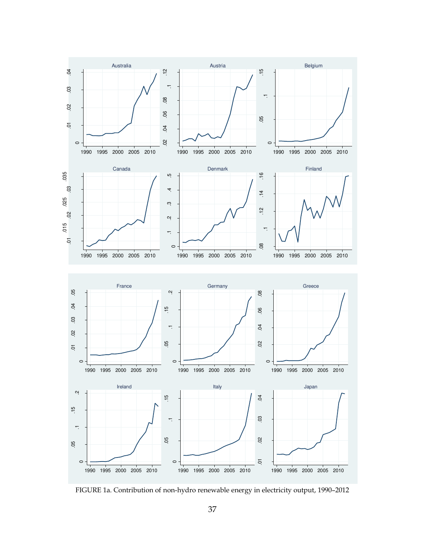

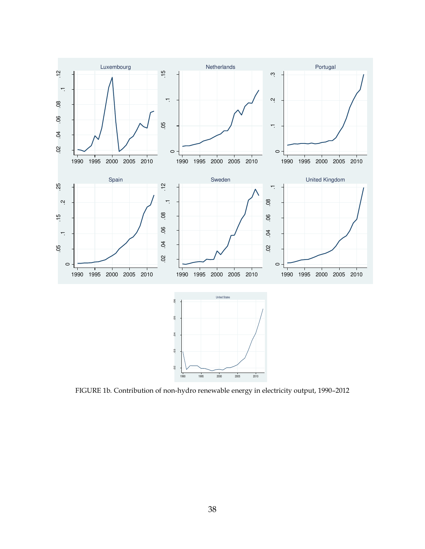

FIGURE 1b. Contribution of non-hydro renewable energy in electricity output, 1990–2012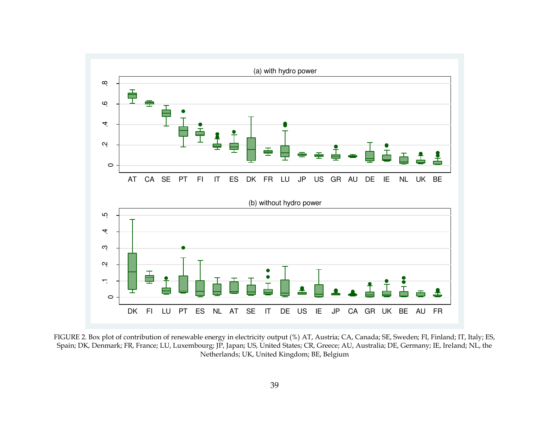

FIGURE 2. Box plot of contribution of renewable energy in electricity output (%) AT, Austria; CA, Canada; SE, Sweden; FI, Finland; IT, Italy; ES, Spain; DK, Denmark; FR, France; LU, Luxembourg; JP, Japan; US, United States; CR, Greece; AU, Australia; DE, Germany; IE, Ireland; NL, the Netherlands; UK, United Kingdom; BE, Belgium